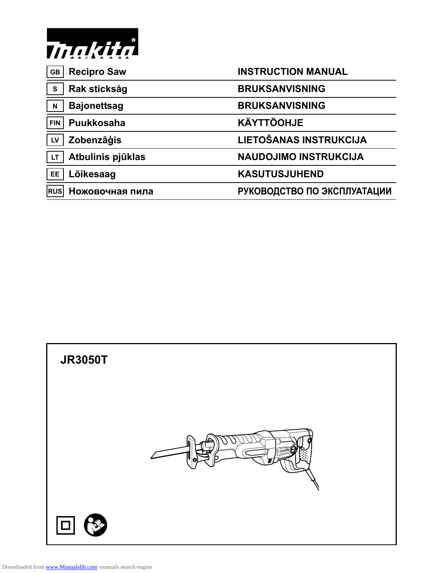

| <b>Recipro Saw</b><br><b>GB</b>   | <b>INSTRUCTION MANUAL</b>    |
|-----------------------------------|------------------------------|
| Rak sticksåg<br>$\mathbf{s}$      | <b>BRUKSANVISNING</b>        |
| <b>Bajonettsag</b><br>$\mathbf N$ | <b>BRUKSANVISNING</b>        |
| Puukkosaha<br><b>FIN</b>          | <b>KÄYTTÖOHJE</b>            |
| Zobenzāģis<br>LV                  | LIETOŠANAS INSTRUKCIJA       |
| Atbulinis pjūklas<br><b>LT</b>    | <b>NAUDOJIMO INSTRUKCIJA</b> |
| Lõikesaag<br><b>EE</b>            | <b>KASUTUSJUHEND</b>         |
| Ножовочная пила<br><b>RUS</b>     | РУКОВОДСТВО ПО ЭКСПЛУАТАЦИИ  |

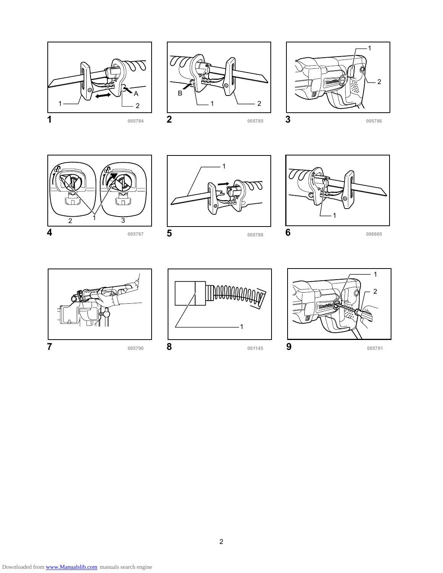















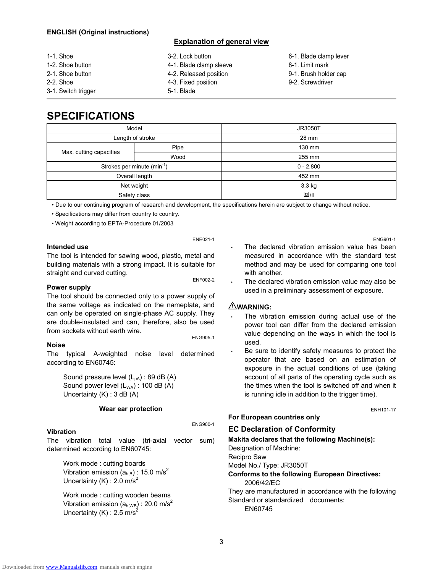#### **ENGLISH (Original instructions)**

#### **Explanation of general view**

| 1-1. Shoe           | 3-2. Lock button        | 6-1. Blade clamp lever |
|---------------------|-------------------------|------------------------|
| 1-2. Shoe button    | 4-1. Blade clamp sleeve | 8-1. Limit mark        |
| 2-1. Shoe button    | 4-2. Released position  | 9-1. Brush holder cap  |
| 2-2. Shoe           | 4-3. Fixed position     | 9-2. Screwdriver       |
| 3-1. Switch trigger | 5-1. Blade              |                        |

## **SPECIFICATIONS**

| Model                                   |      | <b>JR3050T</b> |
|-----------------------------------------|------|----------------|
| Length of stroke                        |      | 28 mm          |
|                                         | Pipe | 130 mm         |
| Max. cutting capacities                 | Wood | 255 mm         |
| Strokes per minute (min <sup>-1</sup> ) |      | $0 - 2,800$    |
| Overall length                          |      | 452 mm         |
| Net weight                              |      | $3.3$ kg       |
| Safety class                            |      | $\Box$ /II     |

• Due to our continuing program of research and development, the specifications herein are subject to change without notice.

• Specifications may differ from country to country.

• Weight according to EPTA-Procedure 01/2003

#### **Intended use**

ENE021-1

The tool is intended for sawing wood, plastic, metal and building materials with a strong impact. It is suitable for straight and curved cutting.<br> **ENF002-2** 

ENG900-1

#### **Power supply**

The tool should be connected only to a power supply of the same voltage as indicated on the nameplate, and can only be operated on single-phase AC supply. They are double-insulated and can, therefore, also be used from sockets without earth wire.<br>ENG905-1

#### **Noise**

The typical A-weighted noise level determined according to EN60745:

Sound pressure level  $(L_{pA})$ : 89 dB (A) Sound power level  $(L_{WA})$ : 100 dB  $(A)$ Uncertainty (K) : 3 dB (A)

#### **Wear ear protection**

#### **Vibration**

The vibration total value (tri-axial vector sum) determined according to EN60745:

Work mode : cutting boards Vibration emission  $(a<sub>h,B</sub>)$  : 15.0 m/s<sup>2</sup> Uncertainty (K) : 2.0 m/s<sup>2</sup>

Work mode : cutting wooden beams Vibration emission  $(a_{h,WB})$  : 20.0 m/s<sup>2</sup> Uncertainty (K) : 2.5 m/s<sup>2</sup>

- The declared vibration emission value has been measured in accordance with the standard test method and may be used for comparing one tool with another.
- The declared vibration emission value may also be used in a preliminary assessment of exposure.

#### **WARNING:**

- The vibration emission during actual use of the power tool can differ from the declared emission value depending on the ways in which the tool is used.
- Be sure to identify safety measures to protect the operator that are based on an estimation of exposure in the actual conditions of use (taking account of all parts of the operating cycle such as the times when the tool is switched off and when it is running idle in addition to the trigger time).

**For European countries only** 

#### **EC Declaration of Conformity**

**Makita declares that the following Machine(s):** 

Designation of Machine: Recipro Saw Model No./ Type: JR3050T

#### **Conforms to the following European Directives:**  2006/42/EC

They are manufactured in accordance with the following Standard or standardized documents: EN60745

ENG901-1

ENH101-17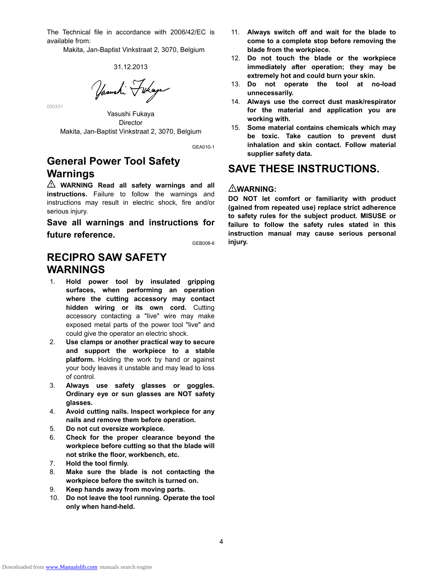The Technical file in accordance with 2006/42/EC is available from:

Makita, Jan-Baptist Vinkstraat 2, 3070, Belgium

#### 31.12.2013

Yasushi Fukaya

Yasushi Fukaya Director Makita, Jan-Baptist Vinkstraat 2, 3070, Belgium

GEA010-1

## **General Power Tool Safety Warnings**

000331

**WARNING Read all safety warnings and all instructions.** Failure to follow the warnings and instructions may result in electric shock, fire and/or serious injury.

**Save all warnings and instructions for future reference.** 

GEB008-6

## **RECIPRO SAW SAFETY WARNINGS**

- 1. **Hold power tool by insulated gripping surfaces, when performing an operation where the cutting accessory may contact hidden wiring or its own cord.** Cutting accessory contacting a "live" wire may make exposed metal parts of the power tool "live" and could give the operator an electric shock.
- 2. **Use clamps or another practical way to secure and support the workpiece to a stable platform.** Holding the work by hand or against your body leaves it unstable and may lead to loss of control.
- 3. **Always use safety glasses or goggles. Ordinary eye or sun glasses are NOT safety glasses.**
- 4. **Avoid cutting nails. Inspect workpiece for any nails and remove them before operation.**
- 5. **Do not cut oversize workpiece.**
- 6. **Check for the proper clearance beyond the workpiece before cutting so that the blade will not strike the floor, workbench, etc.**
- 7. **Hold the tool firmly.**
- 8. **Make sure the blade is not contacting the workpiece before the switch is turned on.**
- 9. **Keep hands away from moving parts.**
- 10. **Do not leave the tool running. Operate the tool only when hand-held.**
- 11. **Always switch off and wait for the blade to come to a complete stop before removing the blade from the workpiece.**
- 12. **Do not touch the blade or the workpiece immediately after operation; they may be extremely hot and could burn your skin.**
- 13. **Do not operate the tool at no-load unnecessarily.**
- 14. **Always use the correct dust mask/respirator for the material and application you are working with.**
- 15. **Some material contains chemicals which may be toxic. Take caution to prevent dust inhalation and skin contact. Follow material supplier safety data.**

## **SAVE THESE INSTRUCTIONS.**

#### **WARNING:**

**DO NOT let comfort or familiarity with product (gained from repeated use) replace strict adherence to safety rules for the subject product. MISUSE or failure to follow the safety rules stated in this instruction manual may cause serious personal injury.**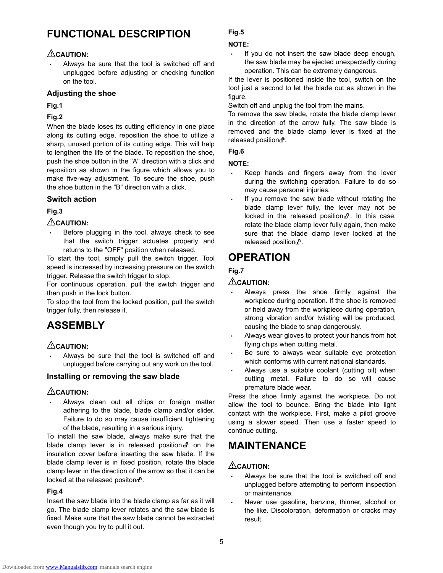## **FUNCTIONAL DESCRIPTION**

### **CAUTION:**

Always be sure that the tool is switched off and unplugged before adjusting or checking function on the tool.

#### **Adjusting the shoe**

**Fig.1** 

### **Fig.2**

When the blade loses its cutting efficiency in one place along its cutting edge, reposition the shoe to utilize a sharp, unused portion of its cutting edge. This will help to lengthen the life of the blade. To reposition the shoe, push the shoe button in the "A" direction with a click and reposition as shown in the figure which allows you to make five-way adjustment. To secure the shoe, push the shoe button in the "B" direction with a click.

### **Switch action**

### **Fig.3**

### **CAUTION:**

Before plugging in the tool, always check to see that the switch trigger actuates properly and returns to the "OFF" position when released.

To start the tool, simply pull the switch trigger. Tool speed is increased by increasing pressure on the switch trigger. Release the switch trigger to stop.

For continuous operation, pull the switch trigger and then push in the lock button.

To stop the tool from the locked position, pull the switch trigger fully, then release it.

## **ASSEMBLY**

### **CAUTION:**

Always be sure that the tool is switched off and unplugged before carrying out any work on the tool.

#### **Installing or removing the saw blade**

### **CAUTION:**

• Always clean out all chips or foreign matter adhering to the blade, blade clamp and/or slider. Failure to do so may cause insufficient tightening of the blade, resulting in a serious injury.

To install the saw blade, always make sure that the blade clamp lever is in released position  $\mathbf{d}^n$  on the insulation cover before inserting the saw blade. If the blade clamp lever is in fixed position, rotate the blade clamp lever in the direction of the arrow so that it can be locked at the released positon  $\mathbb{B}$ .

#### **Fig.4**

Insert the saw blade into the blade clamp as far as it will go. The blade clamp lever rotates and the saw blade is fixed. Make sure that the saw blade cannot be extracted even though you try to pull it out.

### **Fig.5**

#### **NOTE:**

If you do not insert the saw blade deep enough, the saw blade may be ejected unexpectedly during operation. This can be extremely dangerous.

If the lever is positioned inside the tool, switch on the tool just a second to let the blade out as shown in the figure.

Switch off and unplug the tool from the mains.

To remove the saw blade, rotate the blade clamp lever in the direction of the arrow fully. The saw blade is removed and the blade clamp lever is fixed at the released position  $\mathbb{R}^n$ .

## **Fig.6**

#### **NOTE:**

- Keep hands and fingers away from the lever during the switching operation. Failure to do so may cause personal injuries.
- If you remove the saw blade without rotating the blade clamp lever fully, the lever may not be locked in the released position  $\mathbb{R}^n$ . In this case, rotate the blade clamp lever fully again, then make sure that the blade clamp lever locked at the released position.<sup>0</sup>.

## **OPERATION**

### **Fig.7**

### **CAUTION:**

- Always press the shoe firmly against the workpiece during operation. If the shoe is removed or held away from the workpiece during operation, strong vibration and/or twisting will be produced, causing the blade to snap dangerously.
- Always wear gloves to protect your hands from hot flying chips when cutting metal.
- Be sure to always wear suitable eye protection which conforms with current national standards.
- Always use a suitable coolant (cutting oil) when cutting metal. Failure to do so will cause premature blade wear.

Press the shoe firmly against the workpiece. Do not allow the tool to bounce. Bring the blade into light contact with the workpiece. First, make a pilot groove using a slower speed. Then use a faster speed to continue cutting.

## **MAINTENANCE**

### **CAUTION:**

- Always be sure that the tool is switched off and unplugged before attempting to perform inspection or maintenance.
- Never use gasoline, benzine, thinner, alcohol or the like. Discoloration, deformation or cracks may result.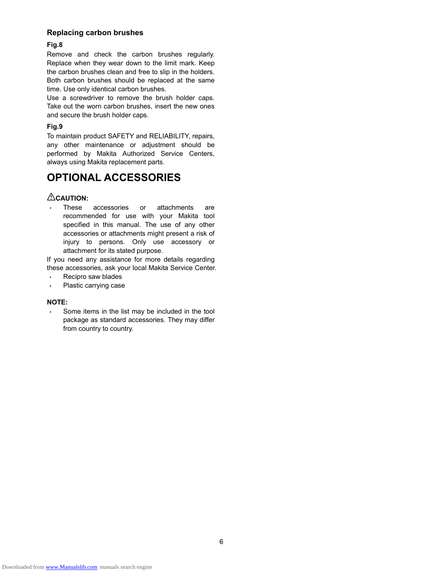#### **Replacing carbon brushes**

#### **Fig.8**

Remove and check the carbon brushes regularly. Replace when they wear down to the limit mark. Keep the carbon brushes clean and free to slip in the holders. Both carbon brushes should be replaced at the same time. Use only identical carbon brushes.

Use a screwdriver to remove the brush holder caps. Take out the worn carbon brushes, insert the new ones and secure the brush holder caps.

#### **Fig.9**

To maintain product SAFETY and RELIABILITY, repairs, any other maintenance or adjustment should be performed by Makita Authorized Service Centers, always using Makita replacement parts.

## **OPTIONAL ACCESSORIES**

#### **CAUTION:**

These accessories or attachments are recommended for use with your Makita tool specified in this manual. The use of any other accessories or attachments might present a risk of injury to persons. Only use accessory or attachment for its stated purpose.

If you need any assistance for more details regarding these accessories, ask your local Makita Service Center.

- Recipro saw blades
- Plastic carrying case

#### **NOTE:**

Some items in the list may be included in the tool package as standard accessories. They may differ from country to country.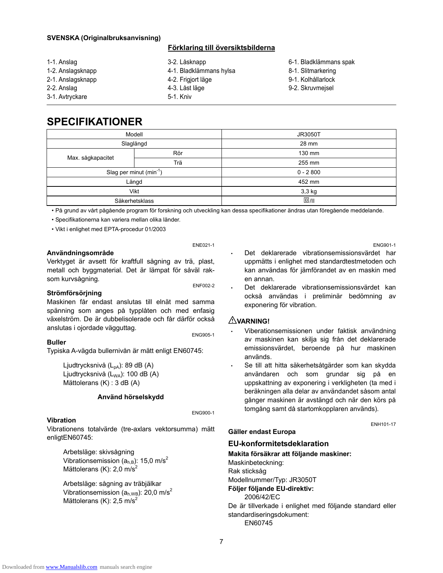#### **SVENSKA (Originalbruksanvisning)**

#### **Förklaring till översiktsbilderna**

- 1-1. Anslag 1-2. Anslagsknapp 2-1. Anslagsknapp 2-2. Anslag 3-1. Avtryckare 3-2. Låsknapp 4-1. Bladklämmans hylsa 4-2. Frigjort läge 4-3. Låst läge 5-1. Kniv
	- 6-1. Bladklämmans spak
	- 8-1. Slitmarkering
	- 9-1. Kolhållarlock
	- 9-2. Skruvmejsel

## **SPECIFIKATIONER**

| Modell                      |           | <b>JR3050T</b> |
|-----------------------------|-----------|----------------|
|                             | Slaglängd | 28 mm          |
|                             | Rör       | 130 mm         |
| Max. sågkapacitet           | Trä       | 255 mm         |
| Slag per minut $(min^{-1})$ |           | $0 - 2800$     |
| Längd                       |           | 452 mm         |
| Vikt                        |           | 3,3 kg         |
| Säkerhetsklass              |           | $\Box$ /II     |

• På grund av vårt pågående program för forskning och utveckling kan dessa specifikationer ändras utan föregående meddelande.

• Specifikationerna kan variera mellan olika länder.

• Vikt i enlighet med EPTA-procedur 01/2003

#### **Användningsområde**

Verktyget är avsett för kraftfull sågning av trä, plast, metall och byggmaterial. Det är lämpat för såväl raksom kurvsågning.<br>
ENF002-2

ENE021-1

#### **Strömförsörjning**

Maskinen får endast anslutas till elnät med samma spänning som anges på typplåten och med enfasig växelström. De är dubbelisolerade och får därför också anslutas i ojordade vägguttag.<br>ENG905-1

#### **Buller**

Typiska A-vägda bullernivån är mätt enligt EN60745:

Ljudtrycksnivå (L<sub>pA</sub>): 89 dB (A) Ljudtrycksnivå (L<sub>WA</sub>): 100 dB (A) Mättolerans (K) : 3 dB (A)

#### **Använd hörselskydd**

ENG900-1

#### **Vibration**

Vibrationens totalvärde (tre-axlars vektorsumma) mätt enligtEN60745:

Arbetsläge: skivsågning Vibrationsemission  $(a<sub>h,B</sub>)$ : 15,0 m/s<sup>2</sup> Mättolerans  $(K)$ : 2,0 m/s<sup>2</sup>

Arbetsläge: sågning av träbjälkar Vibrationsemission  $(a_{h,WB})$ : 20,0 m/s<sup>2</sup> Mättolerans (K):  $2.5 \text{ m/s}^2$ 

ENG901-1

- Det deklarerade vibrationsemissionsvärdet har uppmätts i enlighet med standardtestmetoden och kan användas för jämförandet av en maskin med en annan.
- Det deklarerade vibrationsemissionsvärdet kan också användas i preliminär bedömning av exponering för vibration.

#### **VARNING!**

- Viberationsemissionen under faktisk användning av maskinen kan skilja sig från det deklarerade emissionsvärdet, beroende på hur maskinen används.
- Se till att hitta säkerhetsåtgärder som kan skydda användaren och som grundar sig på en uppskattning av exponering i verkligheten (ta med i beräkningen alla delar av användandet såsom antal gånger maskinen är avstängd och när den körs på tomgång samt då startomkopplaren används).

ENH101-17

#### **Gäller endast Europa**

#### **EU-konformitetsdeklaration**

#### **Makita försäkrar att följande maskiner:**

Maskinbeteckning: Rak sticksåg Modellnummer/Typ: JR3050T **Följer följande EU-direktiv:**  2006/42/EC De är tillverkade i enlighet med följande standard eller standardiseringsdokument: EN60745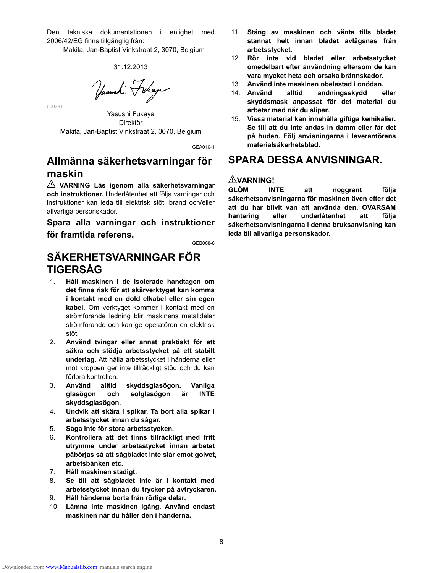Den tekniska dokumentationen i enlighet med 2006/42/EG finns tillgänglig från:

Makita, Jan-Baptist Vinkstraat 2, 3070, Belgium

#### 31.12.2013

Yasushi Tukaya

Yasushi Fukaya Direktör Makita, Jan-Baptist Vinkstraat 2, 3070, Belgium

000331

GEA010-1

## **Allmänna säkerhetsvarningar för maskin**

**VARNING Läs igenom alla säkerhetsvarningar och instruktioner.** Underlåtenhet att följa varningar och instruktioner kan leda till elektrisk stöt, brand och/eller allvarliga personskador.

**Spara alla varningar och instruktioner för framtida referens.** 

GEB008-6

## **SÄKERHETSVARNINGAR FÖR TIGERSÅG**

- 1. **Håll maskinen i de isolerade handtagen om det finns risk för att skärverktyget kan komma i kontakt med en dold elkabel eller sin egen kabel.** Om verktyget kommer i kontakt med en strömförande ledning blir maskinens metalldelar strömförande och kan ge operatören en elektrisk stöt.
- 2. **Använd tvingar eller annat praktiskt för att säkra och stödja arbetsstycket på ett stabilt underlag.** Att hålla arbetsstycket i händerna eller mot kroppen ger inte tillräckligt stöd och du kan förlora kontrollen.
- 3. **Använd alltid skyddsglasögon. Vanliga glasögon och solglasögon är INTE skyddsglasögon.**
- 4. **Undvik att skära i spikar. Ta bort alla spikar i arbetsstycket innan du sågar.**
- 5. **Såga inte för stora arbetsstycken.**
- 6. **Kontrollera att det finns tillräckligt med fritt utrymme under arbetsstycket innan arbetet påbörjas så att sågbladet inte slår emot golvet, arbetsbänken etc.**
- 7. **Håll maskinen stadigt.**
- 8. **Se till att sågbladet inte är i kontakt med arbetsstycket innan du trycker på avtryckaren.**
- 9. **Håll händerna borta från rörliga delar.**
- 10. **Lämna inte maskinen igång. Använd endast maskinen när du håller den i händerna.**
- 11. **Stäng av maskinen och vänta tills bladet stannat helt innan bladet avlägsnas från arbetsstycket.**
- 12. **Rör inte vid bladet eller arbetsstycket omedelbart efter användning eftersom de kan vara mycket heta och orsaka brännskador.**
- 13. **Använd inte maskinen obelastad i onödan.**
- 14. **Använd alltid andningsskydd eller skyddsmask anpassat för det material du arbetar med när du slipar.**
- 15. **Vissa material kan innehålla giftiga kemikalier. Se till att du inte andas in damm eller får det på huden. Följ anvisningarna i leverantörens materialsäkerhetsblad.**

## **SPARA DESSA ANVISNINGAR.**

### **VARNING!**

**GLÖM INTE att noggrant följa säkerhetsanvisningarna för maskinen även efter det att du har blivit van att använda den. OVARSAM hantering eller underlåtenhet att följa säkerhetsanvisningarna i denna bruksanvisning kan leda till allvarliga personskador.**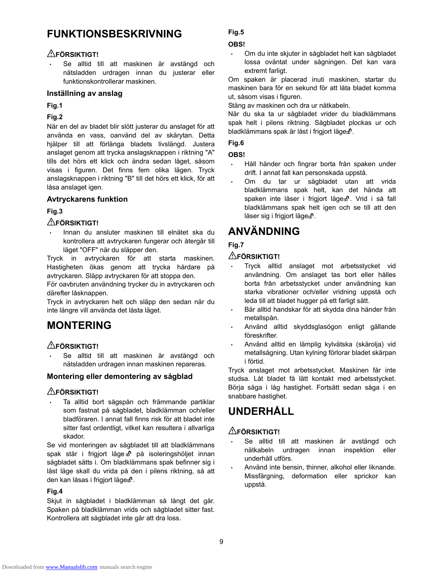## **FUNKTIONSBESKRIVNING**

## **FÖRSIKTIGT!**

• Se alltid till att maskinen är avstängd och nätsladden urdragen innan du justerar eller funktionskontrollerar maskinen.

#### **Inställning av anslag**

**Fig.1** 

#### **Fig.2**

När en del av bladet blir slött justerar du anslaget för att använda en vass, oanvänd del av skärytan. Detta hjälper till att förlänga bladets livslängd. Justera anslaget genom att trycka anslagsknappen i riktning "A" tills det hörs ett klick och ändra sedan läget, såsom visas i figuren. Det finns fem olika lägen. Tryck anslagsknappen i riktning "B" till det hörs ett klick, för att låsa anslaget igen.

### **Avtryckarens funktion**

### **Fig.3**

### **FÖRSIKTIGT!**

• Innan du ansluter maskinen till elnätet ska du kontrollera att avtryckaren fungerar och återgår till läget "OFF" när du släpper den.

Tryck in avtryckaren för att starta maskinen. Hastigheten ökas genom att trycka hårdare på avtryckaren. Släpp avtryckaren för att stoppa den.

För oavbruten användning trycker du in avtryckaren och därefter låsknappen.

Tryck in avtryckaren helt och släpp den sedan när du inte längre vill använda det låsta läget.

## **MONTERING**

### **FÖRSIKTIGT!**

• Se alltid till att maskinen är avstängd och nätsladden urdragen innan maskinen repareras.

#### **Montering eller demontering av sågblad**

### **FÖRSIKTIGT!**

• Ta alltid bort sågspån och främmande partiklar som fastnat på sågbladet, bladklämman och/eller bladföraren. I annat fall finns risk för att bladet inte sitter fast ordentligt, vilket kan resultera i allvarliga skador.

Se vid monteringen av sågbladet till att bladklämmans spak står i frigjort läge n på isoleringshöljet innan sågbladet sätts i. Om bladklämmans spak befinner sig i låst läge skall du vrida på den i pilens riktning, så att den kan låsas i frigjort lägen.

#### **Fig.4**

Skjut in sågbladet i bladklämman så långt det går. Spaken på bladklämman vrids och sågbladet sitter fast. Kontrollera att sågbladet inte går att dra loss.

#### **Fig.5**

#### **OBS!**

• Om du inte skjuter in sågbladet helt kan sågbladet lossa oväntat under sågningen. Det kan vara extremt farligt.

Om spaken är placerad inuti maskinen, startar du maskinen bara för en sekund för att låta bladet komma ut, såsom visas i figuren.

Stäng av maskinen och dra ur nätkabeln.

När du ska ta ur sågbladet vrider du bladklämmans spak helt i pilens riktning. Sågbladet plockas ur och bladklämmans spak är låst i frigjort läge $\mathbb d$ .

### **Fig.6**

#### **OBS!**

- Håll händer och fingrar borta från spaken under drift. I annat fall kan personskada uppstå.
- Om du tar ur sågbladet utan att vrida bladklämmans spak helt, kan det hända att spaken inte låser i frigjort läge . Vrid i så fall bladklämmans spak helt igen och se till att den låser sig i frigjort läge $\mathbb d$ .

## **ANVÄNDNING**

## **Fig.7**

### **FÖRSIKTIGT!**

- Tryck alltid anslaget mot arbetsstycket vid användning. Om anslaget tas bort eller hålles borta från arbetsstycket under användning kan starka vibrationer och/eller vridning uppstå och leda till att bladet hugger på ett farligt sätt.
- Bär alltid handskar för att skydda dina händer från metallspån.
- Använd alltid skyddsglasögon enligt gällande föreskrifter.
- Använd alltid en lämplig kylvätska (skärolja) vid metallsågning. Utan kylning förlorar bladet skärpan i förtid.

Tryck anslaget mot arbetsstycket. Maskinen får inte studsa. Låt bladet få lätt kontakt med arbetsstycket. Börja såga i låg hastighet. Fortsätt sedan såga i en snabbare hastighet.

## **UNDERHÅLL**

## **FÖRSIKTIGT!**

- Se alltid till att maskinen är avstängd och nätkabeln urdragen innan inspektion eller underhåll utförs.
- Använd inte bensin, thinner, alkohol eller liknande. Missfärgning, deformation eller sprickor kan uppstå.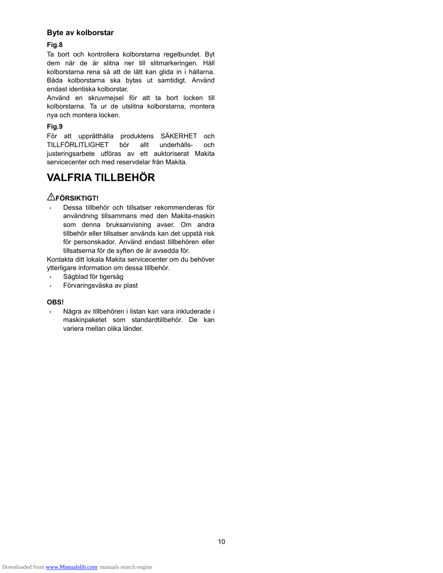#### **Byte av kolborstar**

#### **Fig.8**

Ta bort och kontrollera kolborstarna regelbundet. Byt dem när de är slitna ner till slitmarkeringen. Håll kolborstarna rena så att de lätt kan glida in i hållarna. Båda kolborstarna ska bytas ut samtidigt. Använd endast identiska kolborstar.

Använd en skruvmejsel för att ta bort locken till kolborstarna. Ta ur de utslitna kolborstarna, montera nya och montera locken.

#### **Fig.9**

För att upprätthålla produktens SÄKERHET och TILLFÖRLITLIGHET bör allt underhålls- och justeringsarbete utföras av ett auktoriserat Makita servicecenter och med reservdelar från Makita.

## **VALFRIA TILLBEHÖR**

### **FÖRSIKTIGT!**

• Dessa tillbehör och tillsatser rekommenderas för användning tillsammans med den Makita-maskin som denna bruksanvisning avser. Om andra tillbehör eller tillsatser används kan det uppstå risk för personskador. Använd endast tillbehören eller tillsatserna för de syften de är avsedda för.

Kontakta ditt lokala Makita servicecenter om du behöver ytterligare information om dessa tillbehör.

- Sågblad för tigersåg
- Förvaringsväska av plast

#### **OBS!**

• Några av tillbehören i listan kan vara inkluderade i maskinpaketet som standardtillbehör. De kan variera mellan olika länder.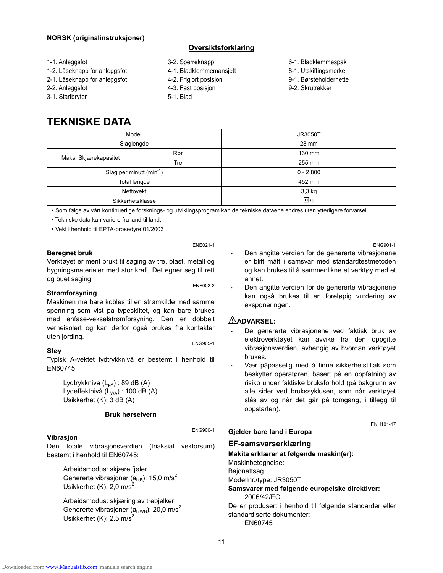#### **NORSK (originalinstruksjoner)**

#### **Oversiktsforklaring**

- 1-1. Anleggsfot
- 1-2. Låseknapp for anleggsfot
- 2-1. Låseknapp for anleggsfot
- 2-2. Anleggsfot
- 3-1. Startbryter
- 3-2. Sperreknapp
- 4-1. Bladklemmemansjett
- 4-2. Frigjort posisjon
- 4-3. Fast posisjon
- 5-1. Blad
- 6-1. Bladklemmespak
- 8-1. Utskiftingsmerke
- 9-1. Børsteholderhette
- 9-2. Skrutrekker

## **TEKNISKE DATA**

| Modell                       |                  | <b>JR3050T</b> |
|------------------------------|------------------|----------------|
|                              | Slaglengde       | 28 mm          |
|                              | Rør              | 130 mm         |
| Maks. Skjærekapasitet        | Tre              | 255 mm         |
| Slag per minutt $(min^{-1})$ |                  | $0 - 2800$     |
| Total lengde                 |                  | 452 mm         |
| Nettovekt                    |                  | 3,3 kg         |
|                              | Sikkerhetsklasse | $\square$ /II  |

• Som følge av vårt kontinuerlige forsknings- og utviklingsprogram kan de tekniske dataene endres uten ytterligere forvarsel.

• Tekniske data kan variere fra land til land.

• Vekt i henhold til EPTA-prosedyre 01/2003

#### **Beregnet bruk**

Verktøyet er ment brukt til saging av tre, plast, metall og bygningsmaterialer med stor kraft. Det egner seg til rett og buet saging.<br>
ENF002-2

ENE021-1

#### **Strømforsyning**

Maskinen må bare kobles til en strømkilde med samme spenning som vist på typeskiltet, og kan bare brukes med enfase-vekselstrømforsyning. Den er dobbelt verneisolert og kan derfor også brukes fra kontakter uten jording.<br>ENG905-1

#### **Støy**

Typisk A-vektet lydtrykknivå er bestemt i henhold til EN60745:

Lydtrykknivå (L<sub>pA</sub>) : 89 dB (A) Lydeffektnivå  $(L_{WA})$ : 100 dB  $(A)$ Usikkerhet (K): 3 dB (A)

#### **Bruk hørselvern**

#### **Vibrasjon**

ENG900-1

Den totale vibrasjonsverdien (triaksial vektorsum) bestemt i henhold til EN60745:

Arbeidsmodus: skjære fjøler Genererte vibrasjoner ( $a<sub>h,B</sub>$ ): 15,0 m/s<sup>2</sup> Usikkerhet (K):  $2.0 \text{ m/s}^2$ 

Arbeidsmodus: skjæring av trebjelker Genererte vibrasjoner ( $a_{h,WB}$ ): 20,0 m/s<sup>2</sup> Usikkerhet (K):  $2.5 \text{ m/s}^2$ 

ENG901-1 Den angitte verdien for de genererte vibrasjonene er blitt målt i samsvar med standardtestmetoden og kan brukes til å sammenlikne et verktøy med et annet.

Den angitte verdien for de genererte vibrasjonene kan også brukes til en foreløpig vurdering av eksponeringen.

#### **ADVARSEL:**

- De genererte vibrasjonene ved faktisk bruk av elektroverktøyet kan avvike fra den oppgitte vibrasjonsverdien, avhengig av hvordan verktøyet brukes.
- Vær påpasselig med å finne sikkerhetstiltak som beskytter operatøren, basert på en oppfatning av risiko under faktiske bruksforhold (på bakgrunn av alle sider ved brukssyklusen, som når verktøyet slås av og når det går på tomgang, i tillegg til oppstarten).

ENH101-17

#### **Gjelder bare land i Europa**

### **EF-samsvarserklæring**

#### **Makita erklærer at følgende maskin(er):**

Maskinbetegnelse:

Bajonettsag Modellnr./type: JR3050T

#### **Samsvarer med følgende europeiske direktiver:**  2006/42/EC

De er produsert i henhold til følgende standarder eller standardiserte dokumenter: EN60745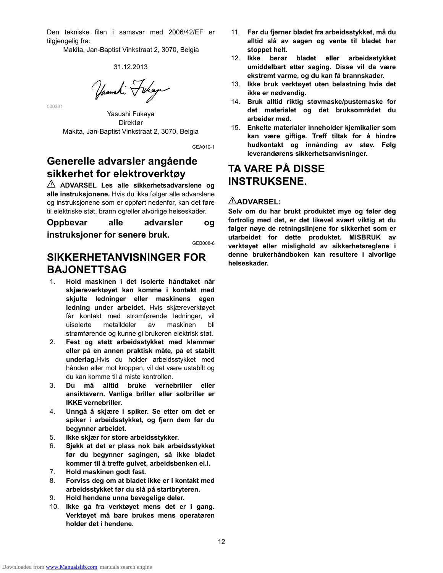Den tekniske filen i samsvar med 2006/42/EF er tilgiengelig fra:

Makita, Jan-Baptist Vinkstraat 2, 3070, Belgia

#### 31.12.2013

Yasushi Fukaya

Yasushi Fukaya Direktør Makita, Jan-Baptist Vinkstraat 2, 3070, Belgia

000331

GEA010-1

## **Generelle advarsler angående sikkerhet for elektroverktøy**

**ADVARSEL Les alle sikkerhetsadvarslene og alle instruksjonene.** Hvis du ikke følger alle advarslene og instruksjonene som er oppført nedenfor, kan det føre til elektriske støt, brann og/eller alvorlige helseskader.

**Oppbevar alle advarsler og instruksjoner for senere bruk.** 

GEB008-6

## **SIKKERHETANVISNINGER FOR BAJONETTSAG**

- 1. **Hold maskinen i det isolerte håndtaket når skjæreverktøyet kan komme i kontakt med skjulte ledninger eller maskinens egen ledning under arbeidet.** Hvis skjæreverktøyet får kontakt med strømførende ledninger, vil uisolerte metalldeler av maskinen bli strømførende og kunne gi brukeren elektrisk støt.
- 2. **Fest og støtt arbeidsstykket med klemmer eller på en annen praktisk måte, på et stabilt underlag.**Hvis du holder arbeidsstykket med hånden eller mot kroppen, vil det være ustabilt og du kan komme til å miste kontrollen.
- 3. **Du må alltid bruke vernebriller eller ansiktsvern. Vanlige briller eller solbriller er IKKE vernebriller.**
- 4. **Unngå å skjære i spiker. Se etter om det er spiker i arbeidsstykket, og fjern dem før du begynner arbeidet.**
- 5. **Ikke skjær for store arbeidsstykker.**
- 6. **Sjekk at det er plass nok bak arbeidsstykket før du begynner sagingen, så ikke bladet kommer til å treffe gulvet, arbeidsbenken el.l.**
- 7. **Hold maskinen godt fast.**
- 8. **Forviss deg om at bladet ikke er i kontakt med arbeidsstykket før du slå på startbryteren.**
- 9. **Hold hendene unna bevegelige deler.**
- 10. **Ikke gå fra verktøyet mens det er i gang. Verktøyet må bare brukes mens operatøren holder det i hendene.**
- 11. **Før du fjerner bladet fra arbeidsstykket, må du alltid slå av sagen og vente til bladet har stoppet helt.**
- 12. **Ikke berør bladet eller arbeidsstykket umiddelbart etter saging. Disse vil da være ekstremt varme, og du kan få brannskader.**
- 13. **Ikke bruk verktøyet uten belastning hvis det ikke er nødvendig.**
- 14. **Bruk alltid riktig støvmaske/pustemaske for det materialet og det bruksområdet du arbeider med.**
- 15. **Enkelte materialer inneholder kjemikalier som kan være giftige. Treff tiltak for å hindre hudkontakt og innånding av støv. Følg leverandørens sikkerhetsanvisninger.**

## **TA VARE PÅ DISSE INSTRUKSENE.**

#### **ADVARSEL:**

**Selv om du har brukt produktet mye og føler deg fortrolig med det, er det likevel svært viktig at du følger nøye de retningslinjene for sikkerhet som er utarbeidet for dette produktet. MISBRUK av verktøyet eller mislighold av sikkerhetsreglene i denne brukerhåndboken kan resultere i alvorlige helseskader.**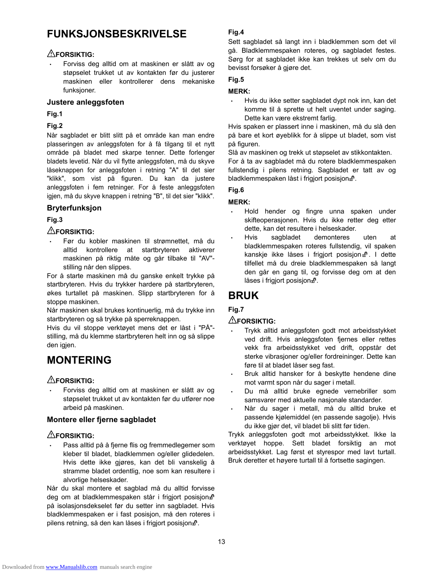## **FUNKSJONSBESKRIVELSE**

### **FORSIKTIG:**

• Forviss deg alltid om at maskinen er slått av og støpselet trukket ut av kontakten før du justerer maskinen eller kontrollerer dens mekaniske funksjoner.

#### **Justere anleggsfoten**

**Fig.1** 

#### **Fig.2**

Når sagbladet er blitt slitt på et område kan man endre plasseringen av anleggsfoten for å få tilgang til et nytt område på bladet med skarpe tenner. Dette forlenger bladets levetid. Når du vil flytte anleggsfoten, må du skyve låseknappen for anleggsfoten i retning "A" til det sier "klikk", som vist på figuren. Du kan da justere anleggsfoten i fem retninger. For å feste anleggsfoten igjen, må du skyve knappen i retning "B", til det sier "klikk".

### **Bryterfunksjon**

### **Fig.3**

## **FORSIKTIG:**

• Før du kobler maskinen til strømnettet, må du alltid kontrollere at startbryteren aktiverer maskinen på riktig måte og går tilbake til "AV" stilling når den slippes.

For å starte maskinen må du ganske enkelt trykke på startbryteren. Hvis du trykker hardere på startbryteren, økes turtallet på maskinen. Slipp startbryteren for å stoppe maskinen.

Når maskinen skal brukes kontinuerlig, må du trykke inn startbryteren og så trykke på sperreknappen.

Hvis du vil stoppe verktøyet mens det er låst i "PÅ" stilling, må du klemme startbryteren helt inn og så slippe den igjen.

## **MONTERING**

## **FORSIKTIG:**

• Forviss deg alltid om at maskinen er slått av og støpselet trukket ut av kontakten før du utfører noe arbeid på maskinen.

#### **Montere eller fjerne sagbladet**

### **FORSIKTIG:**

• Pass alltid på å fjerne flis og fremmedlegemer som kleber til bladet, bladklemmen og/eller glidedelen. Hvis dette ikke gjøres, kan det bli vanskelig å stramme bladet ordentlig, noe som kan resultere i alvorlige helseskader.

Når du skal montere et sagblad må du alltid forvisse deg om at bladklemmespaken står i frigjort posisjona<sup>n</sup> på isolasjonsdekselet før du setter inn sagbladet. Hvis bladklemmespaken er i fast posisjon, må den roteres i pilens retning, så den kan låses i frigjort posisjon $\mathbf{m}$ .

### **Fig.4**

Sett sagbladet så langt inn i bladklemmen som det vil gå. Bladklemmespaken roteres, og sagbladet festes. Sørg for at sagbladet ikke kan trekkes ut selv om du bevisst forsøker å gjøre det.

### **Fig.5**

#### **MERK:**

• Hvis du ikke setter sagbladet dypt nok inn, kan det komme til å sprette ut helt uventet under saging. Dette kan være ekstremt farlig.

Hvis spaken er plassert inne i maskinen, må du slå den på bare et kort øyeblikk for å slippe ut bladet, som vist på figuren.

Slå av maskinen og trekk ut støpselet av stikkontakten.

For å ta av sagbladet må du rotere bladklemmespaken fullstendig i pilens retning. Sagbladet er tatt av og bladklemmespaken låst i frigjort posisjon $\mathbf{f}$ .

#### **Fig.6**

### **MERK:**

- Hold hender og fingre unna spaken under skifteoperasjonen. Hvis du ikke retter deg etter dette, kan det resultere i helseskader.
- Hvis sagbladet demonteres uten at bladklemmespaken roteres fullstendig, vil spaken kanskje ikke låses i frigjort posisjon n. I dette tilfellet må du dreie bladklemmespaken så langt den går en gang til, og forvisse deg om at den låses i frigjort posisjon ...

## **BRUK**

## **Fig.7**

### **FORSIKTIG:**

- Trykk alltid anleggsfoten godt mot arbeidsstykket ved drift. Hvis anleggsfoten fjernes eller rettes vekk fra arbeidsstykket ved drift, oppstår det sterke vibrasjoner og/eller fordreininger. Dette kan føre til at bladet låser seg fast.
- Bruk alltid hansker for å beskytte hendene dine mot varmt spon når du sager i metall.
- Du må alltid bruke egnede vernebriller som samsvarer med aktuelle nasjonale standarder.
- Når du sager i metall, må du alltid bruke et passende kjølemiddel (en passende sagolje). Hvis du ikke gjør det, vil bladet bli slitt før tiden.

Trykk anleggsfoten godt mot arbeidsstykket. Ikke la verktøyet hoppe. Sett bladet forsiktig an mot arbeidsstykket. Lag først et styrespor med lavt turtall. Bruk deretter et høyere turtall til å fortsette sagingen.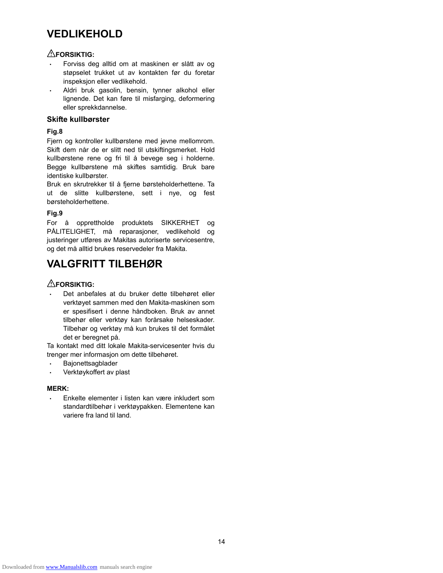## **VEDLIKEHOLD**

### **FORSIKTIG:**

- Forviss deg alltid om at maskinen er slått av og støpselet trukket ut av kontakten før du foretar inspeksjon eller vedlikehold.
- Aldri bruk gasolin, bensin, tynner alkohol eller lignende. Det kan føre til misfarging, deformering eller sprekkdannelse.

#### **Skifte kullbørster**

#### **Fig.8**

Fjern og kontroller kullbørstene med jevne mellomrom. Skift dem når de er slitt ned til utskiftingsmerket. Hold kullbørstene rene og fri til å bevege seg i holderne. Begge kullbørstene må skiftes samtidig. Bruk bare identiske kullbørster.

Bruk en skrutrekker til å fjerne børsteholderhettene. Ta ut de slitte kullbørstene, sett i nye, og fest børsteholderhettene.

#### **Fig.9**

For å opprettholde produktets SIKKERHET og PÅLITELIGHET, må reparasjoner, vedlikehold og justeringer utføres av Makitas autoriserte servicesentre, og det må alltid brukes reservedeler fra Makita.

## **VALGFRITT TILBEHØR**

### **FORSIKTIG:**

• Det anbefales at du bruker dette tilbehøret eller verktøyet sammen med den Makita-maskinen som er spesifisert i denne håndboken. Bruk av annet tilbehør eller verktøy kan forårsake helseskader. Tilbehør og verktøy må kun brukes til det formålet det er beregnet på.

Ta kontakt med ditt lokale Makita-servicesenter hvis du trenger mer informasjon om dette tilbehøret.

- Bajonettsagblader
- Verktøykoffert av plast

#### **MERK:**

• Enkelte elementer i listen kan være inkludert som standardtilbehør i verktøypakken. Elementene kan variere fra land til land.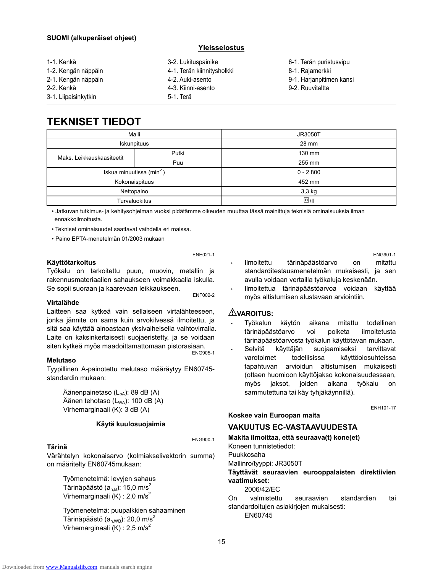#### **SUOMI (alkuperäiset ohjeet)**

#### **Yleisselostus**

1-1. Kenkä 1-2. Kengän näppäin 2-1. Kengän näppäin 2-2. Kenkä 3-1. Liipaisinkytkin 3-2. Lukituspainike 4-1. Terän kiinnitysholkki 4-2. Auki-asento 4-3. Kiinni-asento 5-1. Terä 6-1. Terän puristusvipu 8-1. Rajamerkki 9-1. Harjanpitimen kansi 9-2. Ruuvitaltta

## **TEKNISET TIEDOT**

| Malli                                 |       | <b>JR3050T</b> |
|---------------------------------------|-------|----------------|
| Iskunpituus                           |       | 28 mm          |
| Maks. Leikkauskaasiteetit             | Putki | 130 mm         |
|                                       | Puu   | 255 mm         |
| Iskua minuutissa (min <sup>-1</sup> ) |       | $0 - 2800$     |
| Kokonaispituus                        |       | 452 mm         |
| Nettopaino                            |       | 3,3 kg         |
| <b>Turvaluokitus</b>                  |       | $\square$ /II  |

• Jatkuvan tutkimus- ja kehitysohjelman vuoksi pidätämme oikeuden muuttaa tässä mainittuja teknisiä ominaisuuksia ilman ennakkoilmoitusta.

• Tekniset ominaisuudet saattavat vaihdella eri maissa.

• Paino EPTA-menetelmän 01/2003 mukaan

#### ENE021-1

#### **Käyttötarkoitus**

Työkalu on tarkoitettu puun, muovin, metallin ja rakennusmateriaalien sahaukseen voimakkaalla iskulla. Se sopii suoraan ja kaarevaan leikkaukseen. ENF002-2

#### **Virtalähde**

Laitteen saa kytkeä vain sellaiseen virtalähteeseen, jonka jännite on sama kuin arvokilvessä ilmoitettu, ja sitä saa käyttää ainoastaan yksivaiheisella vaihtovirralla. Laite on kaksinkertaisesti suojaeristetty, ja se voidaan siten kytkeä myös maadoittamattomaan pistorasiaan.<br>ENG905-1

#### **Melutaso**

Tyypillinen A-painotettu melutaso määräytyy EN60745 standardin mukaan:

Äänenpainetaso (L<sub>pA</sub>): 89 dB (A) Äänen tehotaso  $(L_{WA})$ : 100 dB  $(A)$ Virhemarginaali (K): 3 dB (A)

#### **Käytä kuulosuojaimia**

#### **Tärinä**

ENG900-1

Värähtelyn kokonaisarvo (kolmiakselivektorin summa) on määritelty EN60745mukaan:

Työmenetelmä: levyjen sahaus Tärinäpäästö  $(a<sub>h,B</sub>)$ : 15,0 m/s<sup>2</sup> Virhemarginaali (K) : 2,0 m/s<sup>2</sup>

Työmenetelmä: puupalkkien sahaaminen Tärinäpäästö ( $a<sub>h WB</sub>$ ): 20,0 m/s<sup>2</sup> Virhemarginaali (K) : 2,5 m/s<sup>2</sup>

- Ilmoitettu tärinäpäästöarvo on mitattu standarditestausmenetelmän mukaisesti, ja sen avulla voidaan vertailla työkaluja keskenään.
- Ilmoitettua tärinäpäästöarvoa voidaan käyttää myös altistumisen alustavaan arviointiin.

#### **VAROITUS:**

- Työkalun käytön aikana mitattu todellinen tärinäpäästöarvo voi poiketa ilmoitetusta tärinäpäästöarvosta työkalun käyttötavan mukaan.
- Selvitä käyttäjän suojaamiseksi tarvittavat varotoimet todellisissa käyttöolosuhteissa tapahtuvan arvioidun altistumisen mukaisesti (ottaen huomioon käyttöjakso kokonaisuudessaan, myös jaksot, joiden aikana työkalu on sammutettuna tai käy tyhjäkäynnillä).

ENH101-17

ENG901-1

#### **VAKUUTUS EC-VASTAAVUUDESTA**

**Makita ilmoittaa, että seuraava(t) kone(et)**  Koneen tunnistetiedot:

Puukkosaha

Mallinro/tyyppi: JR3050T

**Koskee vain Euroopan maita** 

**Täyttävät seuraavien eurooppalaisten direktiivien vaatimukset:** 

2006/42/EC

On valmistettu seuraavien standardien tai standardoitujen asiakirjojen mukaisesti:

EN60745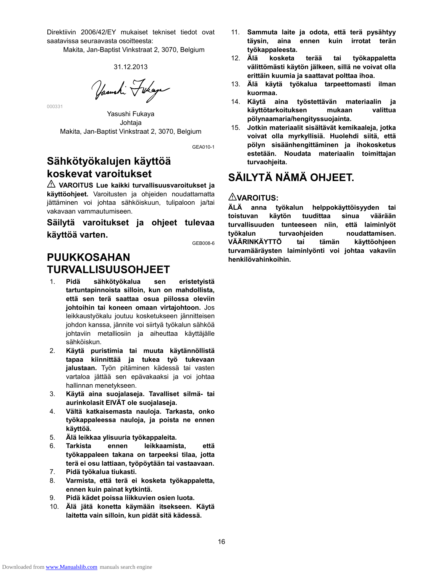Direktiivin 2006/42/EY mukaiset tekniset tiedot ovat saatavissa seuraavasta osoitteesta:

Makita, Jan-Baptist Vinkstraat 2, 3070, Belgium

31.12.2013

Yasushi Fukaya

Yasushi Fukaya Johtaja Makita, Jan-Baptist Vinkstraat 2, 3070, Belgium

GEA010-1

## **Sähkötyökalujen käyttöä koskevat varoitukset**

000331

**VAROITUS Lue kaikki turvallisuusvaroitukset ja käyttöohjeet.** Varoitusten ja ohjeiden noudattamatta jättäminen voi johtaa sähköiskuun, tulipaloon ja/tai vakavaan vammautumiseen.

**Säilytä varoitukset ja ohjeet tulevaa käyttöä varten.** 

GEB008-6

## **PUUKKOSAHAN TURVALLISUUSOHJEET**

- 1. **Pidä sähkötyökalua sen eristetyistä tartuntapinnoista silloin, kun on mahdollista, että sen terä saattaa osua piilossa oleviin johtoihin tai koneen omaan virtajohtoon.** Jos leikkaustyökalu joutuu kosketukseen jännitteisen johdon kanssa, jännite voi siirtyä työkalun sähköä johtaviin metalliosiin ja aiheuttaa käyttäjälle sähköiskun.
- 2. **Käytä puristimia tai muuta käytännöllistä tapaa kiinnittää ja tukea työ tukevaan jalustaan.** Työn pitäminen kädessä tai vasten vartaloa jättää sen epävakaaksi ja voi johtaa hallinnan menetykseen.
- 3. **Käytä aina suojalaseja. Tavalliset silmä- tai aurinkolasit EIVÄT ole suojalaseja.**
- 4. **Vältä katkaisemasta nauloja. Tarkasta, onko työkappaleessa nauloja, ja poista ne ennen käyttöä.**
- 5. **Älä leikkaa ylisuuria työkappaleita.**
- 6. **Tarkista ennen leikkaamista, että työkappaleen takana on tarpeeksi tilaa, jotta terä ei osu lattiaan, työpöytään tai vastaavaan.**
- 7. **Pidä työkalua tiukasti.**
- 8. **Varmista, että terä ei kosketa työkappaletta, ennen kuin painat kytkintä.**
- 9. **Pidä kädet poissa liikkuvien osien luota.**
- 10. **Älä jätä konetta käymään itsekseen. Käytä laitetta vain silloin, kun pidät sitä kädessä.**
- 11. **Sammuta laite ja odota, että terä pysähtyy täysin, aina ennen kuin irrotat terän työkappaleesta.**
- 12. **Älä kosketa terää tai työkappaletta välittömästi käytön jälkeen, sillä ne voivat olla erittäin kuumia ja saattavat polttaa ihoa.**
- 13. **Älä käytä työkalua tarpeettomasti ilman kuormaa.**
- 14. **Käytä aina työstettävän materiaalin ja käyttötarkoituksen mukaan valittua pölynaamaria/hengityssuojainta.**
- 15. **Jotkin materiaalit sisältävät kemikaaleja, jotka voivat olla myrkyllisiä. Huolehdi siitä, että pölyn sisäänhengittäminen ja ihokosketus estetään. Noudata materiaalin toimittajan turvaohjeita.**

## **SÄILYTÄ NÄMÄ OHJEET.**

### **VAROITUS:**

**ÄLÄ anna työkalun helppokäyttöisyyden tai toistuvan käytön tuudittaa sinua väärään turvallisuuden tunteeseen niin, että laiminlyöt työkalun turvaohjeiden noudattamisen. VÄÄRINKÄYTTÖ tai tämän käyttöohjeen turvamääräysten laiminlyönti voi johtaa vakaviin henkilövahinkoihin.**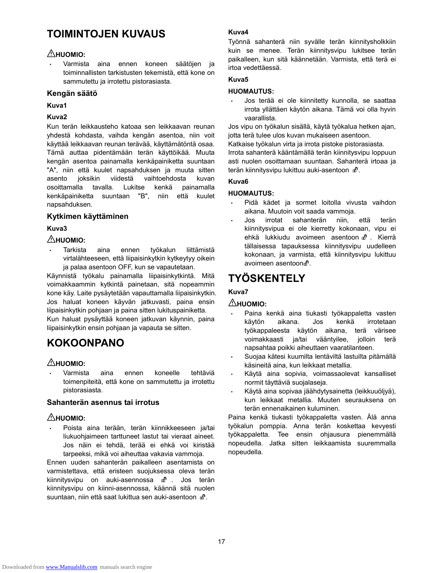## **TOIMINTOJEN KUVAUS**

## **HUOMIO:**

• Varmista aina ennen koneen säätöjen ja toiminnallisten tarkistusten tekemistä, että kone on sammutettu ja irrotettu pistorasiasta.

#### **Kengän säätö**

#### **Kuva1**

#### **Kuva2**

Kun terän leikkausteho katoaa sen leikkaavan reunan yhdestä kohdasta, vaihda kengän asentoa, niin voit käyttää leikkaavan reunan terävää, käyttämätöntä osaa. Tämä auttaa pidentämään terän käyttöikää. Muuta kengän asentoa painamalla kenkäpainiketta suuntaan "A", niin että kuulet napsahduksen ja muuta sitten asento joksikin viidestä vaihtoehdosta kuvan osoittamalla tavalla. Lukitse kenkä painamalla kenkäpainiketta suuntaan "B", niin että kuulet napsahduksen.

### **Kytkimen käyttäminen**

### **Kuva3**

### $\triangle$ HUOMIO:

• Tarkista aina ennen työkalun liittämistä virtalähteeseen, että liipaisinkytkin kytkeytyy oikein ja palaa asentoon OFF, kun se vapautetaan.

Käynnistä työkalu painamalla liipaisinkytkintä. Mitä voimakkaammin kytkintä painetaan, sitä nopeammin kone käy. Laite pysäytetään vapauttamalla liipaisinkytkin. Jos haluat koneen käyvän jatkuvasti, paina ensin liipaisinkytkin pohjaan ja paina sitten lukituspainiketta. Kun haluat pysäyttää koneen jatkuvan käynnin, paina

liipaisinkytkin ensin pohjaan ja vapauta se sitten.

## **KOKOONPANO**

## $\triangle$ HUOMIO:

• Varmista aina ennen koneelle tehtäviä toimenpiteitä, että kone on sammutettu ja irrotettu pistorasiasta.

### **Sahanterän asennus tai irrotus**

### $\triangle$ HUOMIO:

• Poista aina terään, terän kiinnikkeeseen ja/tai liukuohjaimeen tarttuneet lastut tai vieraat aineet. Jos näin ei tehdä, terää ei ehkä voi kiristää tarpeeksi, mikä voi aiheuttaa vakavia vammoja.

Ennen uuden sahanterän paikalleen asentamista on varmistettava, että eristeen suojuksessa oleva terän kiinnitysvipu on auki-asennossa  $\mathbf{d}^0$ . Jos terän kiinnitysvipu on kiinni-asennossa, käännä sitä nuolen suuntaan, niin että saat lukittua sen auki-asentoon  $m$ .

#### **Kuva4**

Työnnä sahanterä niin syvälle terän kiinnitysholkkiin kuin se menee. Terän kiinnitysvipu lukitsee terän paikalleen, kun sitä käännetään. Varmista, että terä ei irtoa vedettäessä.

#### **Kuva5**

#### **HUOMAUTUS:**

• Jos terää ei ole kiinnitetty kunnolla, se saattaa irrota yllättäen käytön aikana. Tämä voi olla hyvin vaarallista.

Jos vipu on työkalun sisällä, käytä työkalua hetken ajan, jotta terä tulee ulos kuvan mukaiseen asentoon.

Katkaise työkalun virta ja irrota pistoke pistorasiasta.

Irrota sahanterä kääntämällä terän kiinnitysvipu loppuun asti nuolen osoittamaan suuntaan. Sahanterä irtoaa ja terän kiinnitysvipu lukittuu auki-asentoon  $\mathbf{d}^0$ .

#### **Kuva6**

### **HUOMAUTUS:**

- Pidä kädet ja sormet loitolla vivusta vaihdon aikana. Muutoin voit saada vammoja.
- Jos irrotat sahanterän niin, että terän kiinnitysvipua ei ole kierretty kokonaan, vipu ei ehkä lukkiudu avoimeen asentoon n<sup>n</sup>. Kierrä tällaisessa tapauksessa kiinnitysvipu uudelleen kokonaan, ja varmista, että kiinnitysvipu lukittuu avoimeen asentoon.<sup>8</sup>.

## **TYÖSKENTELY**

## **Kuva7**

### **AHUOMIO:**

- Paina kenkä aina tiukasti työkappaletta vasten käytön aikana. Jos kenkä irrotetaan työkappaleesta käytön aikana, terä värisee voimakkaasti ja/tai vääntyilee, jolloin terä napsahtaa poikki aiheuttaen vaaratilanteen.
- Suojaa kätesi kuumilta lentäviltä lastuilta pitämällä käsineitä aina, kun leikkaat metallia.
- Käytä aina sopivia, voimassaolevat kansalliset normit täyttäviä suojalaseja.
- Käytä aina sopivaa jäähdytysainetta (leikkuuöljyä), kun leikkaat metallia. Muuten seurauksena on terän ennenaikainen kuluminen.

Paina kenkä tiukasti työkappaletta vasten. Älä anna työkalun pomppia. Anna terän koskettaa kevyesti työkappaletta. Tee ensin ohjausura pienemmällä nopeudella. Jatka sitten leikkaamista suuremmalla nopeudella.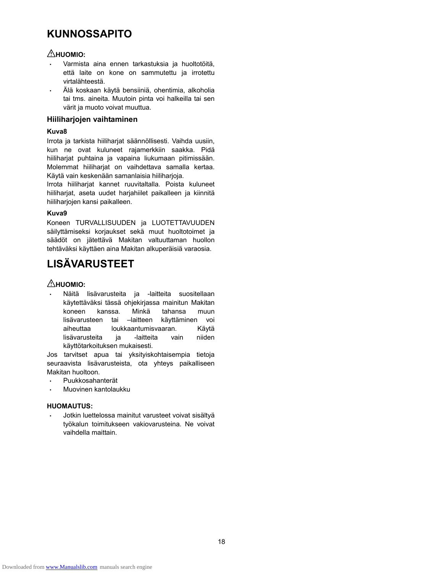## **KUNNOSSAPITO**

### **HUOMIO:**

- Varmista aina ennen tarkastuksia ja huoltotöitä, että laite on kone on sammutettu ja irrotettu virtalähteestä.
- Älä koskaan käytä bensiiniä, ohentimia, alkoholia tai tms. aineita. Muutoin pinta voi halkeilla tai sen värit ja muoto voivat muuttua.

#### **Hiiliharjojen vaihtaminen**

#### **Kuva8**

Irrota ja tarkista hiiliharjat säännöllisesti. Vaihda uusiin, kun ne ovat kuluneet rajamerkkiin saakka. Pidä hiiliharjat puhtaina ja vapaina liukumaan pitimissään. Molemmat hiiliharjat on vaihdettava samalla kertaa. Käytä vain keskenään samanlaisia hiiliharjoja.

Irrota hiiliharjat kannet ruuvitaltalla. Poista kuluneet hiiliharjat, aseta uudet harjahiilet paikalleen ja kiinnitä hiiliharjojen kansi paikalleen.

#### **Kuva9**

Koneen TURVALLISUUDEN ja LUOTETTAVUUDEN säilyttämiseksi korjaukset sekä muut huoltotoimet ja säädöt on jätettävä Makitan valtuuttaman huollon tehtäväksi käyttäen aina Makitan alkuperäisiä varaosia.

## **LISÄVARUSTEET**

## **AHUOMIO:**

• Näitä lisävarusteita ja -laitteita suositellaan käytettäväksi tässä ohjekirjassa mainitun Makitan koneen kanssa. Minkä tahansa muun lisävarusteen tai –laitteen käyttäminen voi aiheuttaa loukkaantumisvaaran. Käytä lisävarusteita ja -laitteita vain niiden käyttötarkoituksen mukaisesti.

Jos tarvitset apua tai yksityiskohtaisempia tietoja seuraavista lisävarusteista, ota yhteys paikalliseen Makitan huoltoon.

- Puukkosahanterät
- Muovinen kantolaukku

### **HUOMAUTUS:**

• Jotkin luettelossa mainitut varusteet voivat sisältyä työkalun toimitukseen vakiovarusteina. Ne voivat vaihdella maittain.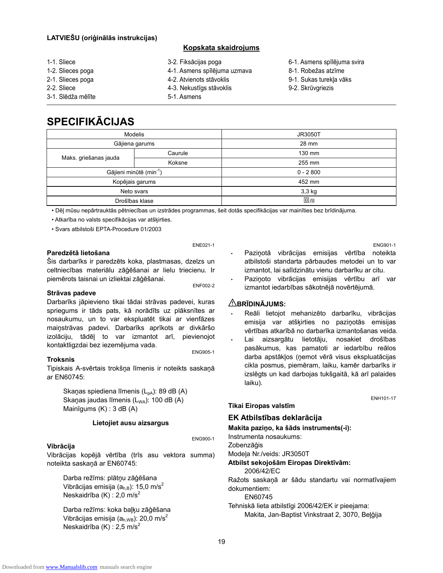#### **LATVIEŠU (oriģinālās instrukcijas)**

#### **Kopskata skaidrojums**

- 1-1. Sliece
- 1-2. Slieces poga
- 2-1. Slieces poga
- 2-2. Sliece
- 3-1. Slēdža mēlīte
- 3-2. Fiksācijas poga
- 4-1. Asmens spīlējuma uzmava
- 4-2. Atvienots stāvoklis
- 4-3. Nekustīgs stāvoklis
- 5-1. Asmens
- 6-1. Asmens spīlējuma svira
- 8-1. Robežas atzīme
- 9-1. Sukas turekļa vāks
- 9-2. Skrūvgriezis

## **SPECIFIKĀCIJAS**

|                                     | <b>Modelis</b> | <b>JR3050T</b> |
|-------------------------------------|----------------|----------------|
|                                     | Gājiena garums | 28 mm          |
|                                     | Caurule        | 130 mm         |
| Maks. griešanas jauda               | Koksne         | 255 mm         |
| Gājieni minūtē (min <sup>-1</sup> ) |                | $0 - 2800$     |
| Kopējais garums                     |                | 452 mm         |
| Neto svars                          |                | 3,3 kg         |
| Drošības klase                      |                | $\Box$ /II     |

• Dēļ mūsu nepārtrauktās pētniecības un izstrādes programmas, šeit dotās specifikācijas var mainīties bez brīdinājuma.

ENE021-1

• Atkarība no valsts specifikācijas var atšķirties.

• Svars atbilstoši EPTA-Procedure 01/2003

#### **Paredzētā lietošana**

Šis darbarīks ir paredzēts koka, plastmasas, dzelzs un celtniecības materiālu zāģēšanai ar lielu triecienu. Ir piemērots taisnai un izliektai zāģēšanai. ENF002-2

#### **Strāvas padeve**

Darbarīks jāpievieno tikai tādai strāvas padevei, kuras spriegums ir tāds pats, kā norādīts uz plāksnītes ar nosaukumu, un to var ekspluatēt tikai ar vienfāzes maiņstrāvas padevi. Darbarīks aprīkots ar divkāršo izolāciju, tādēļ to var izmantot arī, pievienojot kontaktligzdai bez iezemējuma vada. ENG905-1

#### **Troksnis**

Tipiskais A-svērtais trokšņa līmenis ir noteikts saskaņā ar EN60745:

Skaņas spiediena līmenis  $(L_{pA})$ : 89 dB (A) Skaņas jaudas līmenis  $(L_{WA})$ : 100 dB  $(A)$ Mainīgums (K) : 3 dB (A)

#### **Lietojiet ausu aizsargus**

#### ENG900-1

**Vibrācija**  Vibrācijas kopējā vērtība (trīs asu vektora summa) noteikta saskaņā ar EN60745:

Darba režīms: plātņu zāģēšana Vibrācijas emisija ( $a_{h,B}$ ): 15,0 m/s<sup>2</sup> Neskaidrība  $(K)$ : 2,0 m/s<sup>2</sup>

Darba režīms: koka baļķu zāģēšana Vibrācijas emisija ( $a_{h,WB}$ ): 20,0 m/s<sup>2</sup> Neskaidrība  $(K)$ : 2,5 m/s<sup>2</sup>

ENG901-1

ENH101-17

- Paziņotā vibrācijas emisijas vērtība noteikta atbilstoši standarta pārbaudes metodei un to var izmantot, lai salīdzinātu vienu darbarīku ar citu.
- Paziņoto vibrācijas emisijas vērtību arī var izmantot iedarbības sākotnējā novērtējumā.

#### **BRĪDINĀJUMS:**

- Reāli lietojot mehanizēto darbarīku, vibrācijas emisija var atšķirties no paziņotās emisijas vērtības atkarībā no darbarīka izmantošanas veida.
- Lai aizsargātu lietotāju, nosakiet drošības pasākumus, kas pamatoti ar iedarbību reālos darba apstākļos (ņemot vērā visus ekspluatācijas cikla posmus, piemēram, laiku, kamēr darbarīks ir izslēgts un kad darbojas tukšgaitā, kā arī palaides laiku).

### **Tikai Eiropas valstīm**

#### **EK Atbilstības deklarācija**

**Makita paziņo, ka šāds instruments(-i):** 

Instrumenta nosaukums:

Zobenzāģis

Modeļa Nr./veids: JR3050T

#### **Atbilst sekojošām Eiropas Direktīvām:**

2006/42/EC

Ražots saskaņā ar šādu standartu vai normatīvajiem dokumentiem:

EN60745

Tehniskā lieta atbilstīgi 2006/42/EK ir pieejama: Makita, Jan-Baptist Vinkstraat 2, 3070, Beļģija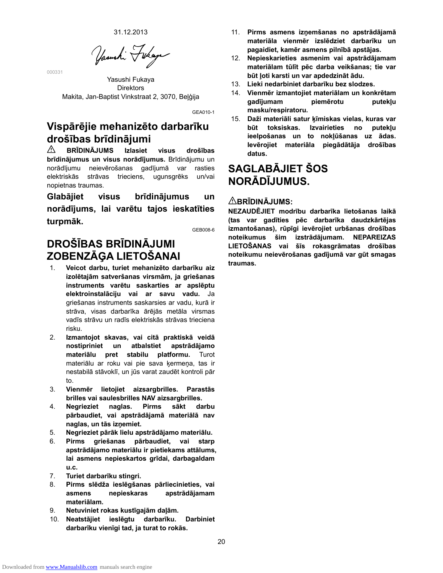31.12.2013

Yasushi Fukaya

000331

Yasushi Fukaya Direktors Makita, Jan-Baptist Vinkstraat 2, 3070, Beļģija

GEA010-1

## **Vispārējie mehanizēto darbarīku drošības brīdinājumi**

⚠ **BRĪDINĀJUMS Izlasiet visus drošības brīdinājumus un visus norādījumus.** Brīdinājumu un norādījumu neievērošanas gadījumā var rasties elektriskās strāvas trieciens, ugunsgrēks un/vai nopietnas traumas.

**Glabājiet visus brīdinājumus un norādījums, lai varētu tajos ieskatīties turpmāk.** 

GEB008-6

## **DROŠĪBAS BRĪDINĀJUMI ZOBENZĀĢA LIETOŠANAI**

- 1. **Veicot darbu, turiet mehanizēto darbarīku aiz izolētajām satveršanas virsmām, ja griešanas instruments varētu saskarties ar apslēptu elektroinstalāciju vai ar savu vadu.** Ja griešanas instruments saskarsies ar vadu, kurā ir strāva, visas darbarīka ārējās metāla virsmas vadīs strāvu un radīs elektriskās strāvas trieciena risku.
- 2. **Izmantojot skavas, vai citā praktiskā veidā nostipriniet un atbalstiet apstrādājamo materiālu pret stabilu platformu.** Turot materiālu ar roku vai pie sava ķermeņa, tas ir nestabilā stāvoklī, un jūs varat zaudēt kontroli pār to.
- 3. **Vienmēr lietojiet aizsargbrilles. Parastās brilles vai saulesbrilles NAV aizsargbrilles.**
- 4. **Negrieziet naglas. Pirms sākt darbu pārbaudiet, vai apstrādājamā materiālā nav naglas, un tās izņemiet.**
- 5. **Negrieziet pārāk lielu apstrādājamo materiālu.**
- 6. **Pirms griešanas pārbaudiet, vai starp apstrādājamo materiālu ir pietiekams attālums, lai asmens nepieskartos grīdai, darbagaldam u.c.**
- 7. **Turiet darbarīku stingri.**
- 8. **Pirms slēdža ieslēgšanas pārliecinieties, vai asmens nepieskaras apstrādājamam materiālam.**
- 9. **Netuviniet rokas kustīgajām daļām.**
- 10. **Neatstājiet ieslēgtu darbarīku. Darbiniet darbarīku vienīgi tad, ja turat to rokās.**
- 11. **Pirms asmens izņemšanas no apstrādājamā materiāla vienmēr izslēdziet darbarīku un pagaidiet, kamēr asmens pilnībā apstājas.**
- 12. **Nepieskarieties asmenim vai apstrādājamam materiālam tūlīt pēc darba veikšanas; tie var būt ļoti karsti un var apdedzināt ādu.**
- 13. **Lieki nedarbiniet darbarīku bez slodzes.**
- 14. **Vienmēr izmantojiet materiālam un konkrētam gadījumam piemērotu putekļu masku/respiratoru.**
- 15. **Daži materiāli satur ķīmiskas vielas, kuras var būt toksiskas. Izvairieties no putekļu ieelpošanas un to nokļūšanas uz ādas. Ievērojiet materiāla piegādātāja drošības datus.**

## **SAGLABĀJIET ŠOS NORĀDĪJUMUS.**

### **BRĪDINĀJUMS:**

**NEZAUDĒJIET modrību darbarīka lietošanas laikā (tas var gadīties pēc darbarīka daudzkārtējas izmantošanas), rūpīgi ievērojiet urbšanas drošības noteikumus šim izstrādājumam. NEPAREIZAS LIETOŠANAS vai šīs rokasgrāmatas drošības noteikumu neievērošanas gadījumā var gūt smagas traumas.**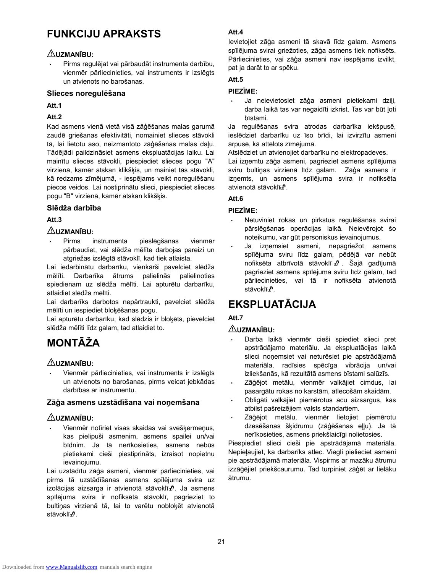## **FUNKCIJU APRAKSTS**

### **UZMANĪBU:**

• Pirms regulējat vai pārbaudāt instrumenta darbību, vienmēr pārliecinieties, vai instruments ir izslēgts un atvienots no barošanas.

#### **Slieces noregulēšana**

#### **Att.1**

#### **Att.2**

Kad asmens vienā vietā visā zāģēšanas malas garumā zaudē griešanas efektivitāti, nomainiet slieces stāvokli tā, lai lietotu aso, neizmantoto zāģēšanas malas daļu. Tādējādi paildzināsiet asmens ekspluatācijas laiku. Lai mainītu slieces stāvokli, piespiediet slieces pogu "A" virzienā, kamēr atskan klikšķis, un mainiet tās stāvokli, kā redzams zīmējumā, - iespējams veikt noregulēšanu piecos veidos. Lai nostiprinātu slieci, piespiediet slieces pogu "B" virzienā, kamēr atskan klikšķis.

### **Slēdža darbība**

### **Att.3**

## **UZMANĪBU:**

• Pirms instrumenta pieslēgšanas vienmēr pārbaudiet, vai slēdža mēlīte darbojas pareizi un atgriežas izslēgtā stāvoklī, kad tiek atlaista.

Lai iedarbinātu darbarīku, vienkārši pavelciet slēdža mēlīti. Darbarīka ātrums palielinās palielinoties spiedienam uz slēdža mēlīti. Lai apturētu darbarīku, atlaidiet slēdža mēlīti.

Lai darbarīks darbotos nepārtraukti, pavelciet slēdža mēlīti un iespiediet bloķēšanas pogu.

Lai apturētu darbarīku, kad slēdzis ir bloķēts, pievelciet slēdža mēlīti līdz galam, tad atlaidiet to.

## **MONTĀŽA**

## **UZMANĪBU:**

• Vienmēr pārliecinieties, vai instruments ir izslēgts un atvienots no barošanas, pirms veicat jebkādas darbības ar instrumentu.

### **Zāģa asmens uzstādīšana vai noņemšana**

### **UZMANĪBU:**

• Vienmēr notīriet visas skaidas vai svešķermeņus, kas pielipuši asmenim, asmens spailei un/vai bīdnim. Ja tā nerīkosieties, asmens nebūs pietiekami cieši piestiprināts, izraisot nopietnu ievainojumu.

Lai uzstādītu zāģa asmeni, vienmēr pārliecinieties, vai pirms tā uzstādīšanas asmens spīlējuma svira uz izolācijas aizsarga ir atvienotā stāvoklīd<sup>a</sup>. Ja asmens spīlējuma svira ir nofiksētā stāvoklī, pagrieziet to bultiņas virzienā tā, lai to varētu nobloķēt atvienotā stāvoklī<sub>c</sub><sup>0</sup>.

### **Att.4**

Ievietojiet zāģa asmeni tā skavā līdz galam. Asmens spīlējuma svirai griežoties, zāģa asmens tiek nofiksēts. Pārliecinieties, vai zāģa asmeni nav iespējams izvilkt, pat ja darāt to ar spēku.

### **Att.5**

#### **PIEZĪME:**

• Ja neievietosiet zāģa asmeni pietiekami dziļi, darba laikā tas var negaidīti izkrist. Tas var būt ļoti bīstami.

Ja regulēšanas svira atrodas darbarīka iekšpusē, ieslēdziet darbarīku uz īso brīdi, lai izvirzītu asmeni ārpusē, kā attēlots zīmējumā.

Atslēdziet un atvienojiet darbarīku no elektropadeves.

Lai izņemtu zāģa asmeni, pagrieziet asmens spīlējuma sviru bultiņas virzienā līdz galam. Zāģa asmens ir izņemts, un asmens spīlējuma svira ir nofiksēta atvienotā stāvoklī<sup>n</sup>.

### **Att.6**

#### **PIEZĪME:**

- Netuviniet rokas un pirkstus regulēšanas svirai pārslēgšanas operācijas laikā. Neievērojot šo noteikumu, var gūt personiskus ievainojumus.
- Ja izņemsiet asmeni, nepagriežot asmens spīlējuma sviru līdz galam, pēdējā var nebūt nofiksēta atbrīvotā stāvoklī m<sup>a</sup>. Šajā gadījumā pagrieziet asmens spīlējuma sviru līdz galam, tad pārliecinieties, vai tā ir nofiksēta atvienotā stāvoklī $\mathbb{d}$ .

## **EKSPLUATĀCIJA**

## **Att.7**

## **UZMANĪBU:**

- Darba laikā vienmēr cieši spiediet slieci pret apstrādājamo materiālu. Ja ekspluatācijas laikā slieci noņemsiet vai neturēsiet pie apstrādājamā materiāla, radīsies spēcīga vibrācija un/vai izliekšanās, kā rezultātā asmens bīstami salūzīs.
- Zāģējot metālu, vienmēr valkājiet cimdus, lai pasargātu rokas no karstām, atlecošām skaidām.
- Obligāti valkājiet piemērotus acu aizsargus, kas atbilst pašreizējiem valsts standartiem.
- Zāģējot metālu, vienmēr lietojiet piemērotu dzesēšanas šķidrumu (zāģēšanas eļļu). Ja tā nerīkosieties, asmens priekšlaicīgi nolietosies.

Piespiediet slieci cieši pie apstrādājamā materiāla. Nepieļaujiet, ka darbarīks atlec. Viegli pielieciet asmeni pie apstrādājamā materiāla. Vispirms ar mazāku ātrumu izzāģējiet priekšcaurumu. Tad turpiniet zāģēt ar lielāku ātrumu.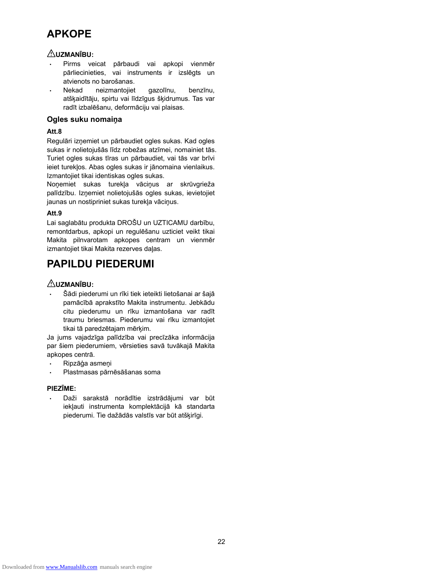## **APKOPE**

### **UZMANĪBU:**

- Pirms veicat pārbaudi vai apkopi vienmēr pārliecinieties, vai instruments ir izslēgts un atvienots no barošanas.
- Nekad neizmantojiet gazolīnu, benzīnu, atšķaidītāju, spirtu vai līdzīgus šķidrumus. Tas var radīt izbalēšanu, deformāciju vai plaisas.

### **Ogles suku nomaiņa**

### **Att.8**

Regulāri izņemiet un pārbaudiet ogles sukas. Kad ogles sukas ir nolietojušās līdz robežas atzīmei, nomainiet tās. Turiet ogles sukas tīras un pārbaudiet, vai tās var brīvi ieiet turekļos. Abas ogles sukas ir jānomaina vienlaikus. Izmantojiet tikai identiskas ogles sukas.

Noņemiet sukas turekļa vāciņus ar skrūvgrieža palīdzību. Izņemiet nolietojušās ogles sukas, ievietojiet jaunas un nostipriniet sukas turekļa vāciņus.

### **Att.9**

Lai saglabātu produkta DROŠU un UZTICAMU darbību, remontdarbus, apkopi un regulēšanu uzticiet veikt tikai Makita pilnvarotam apkopes centram un vienmēr izmantojiet tikai Makita rezerves daļas.

## **PAPILDU PIEDERUMI**

## **UZMANĪBU:**

• Šādi piederumi un rīki tiek ieteikti lietošanai ar šajā pamācībā aprakstīto Makita instrumentu. Jebkādu citu piederumu un rīku izmantošana var radīt traumu briesmas. Piederumu vai rīku izmantojiet tikai tā paredzētajam mērķim.

Ja jums vajadzīga palīdzība vai precīzāka informācija par šiem piederumiem, vērsieties savā tuvākajā Makita apkopes centrā.

- Ripzāģa asmeņi
- Plastmasas pārnēsāšanas soma

#### **PIEZĪME:**

• Daži sarakstā norādītie izstrādājumi var būt iekļauti instrumenta komplektācijā kā standarta piederumi. Tie dažādās valstīs var būt atšķirīgi.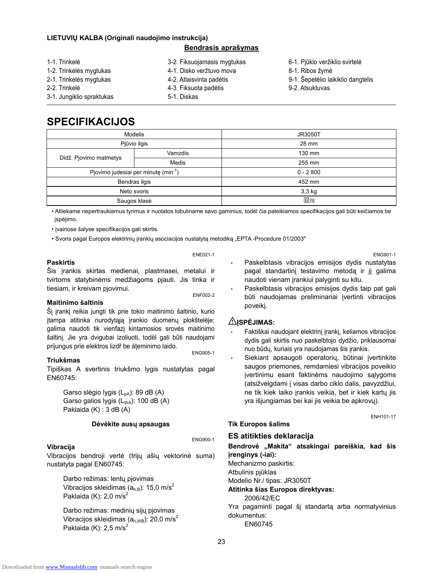#### **LIETUVIŲ KALBA (Originali naudojimo instrukcija)**

#### **Bendrasis aprašymas**

| 1-1. Trinkelė             | 3-2. Fiksuojamasis mygtukas | 6-1. Pjūklo veržiklio svirtelė     |
|---------------------------|-----------------------------|------------------------------------|
| 1-2. Trinkelės mygtukas   | 4-1. Disko veržtuvo mova    | 8-1. Ribos žymė                    |
| 2-1. Trinkelės mygtukas   | 4-2. Atlaisvinta padėtis    | 9-1. Šepetėlio laikiklio dangtelis |
| 2-2. Trinkelė             | 4-3. Fiksuota padėtis       | 9-2. Atsuktuvas                    |
| 3-1. Jungiklio spraktukas | 5-1. Diskas                 |                                    |

## **SPECIFIKACIJOS**

| <b>Modelis</b>                                   |         | <b>JR3050T</b> |
|--------------------------------------------------|---------|----------------|
| Pjūvio ilgis                                     |         | 28 mm          |
|                                                  | Vamzdis | 130 mm         |
| Didž. Pjovimo matmetys                           | Medis   | 255 mm         |
| Pjovimo judesiai per minutę (min <sup>-1</sup> ) |         | $0 - 2800$     |
| Bendras ilgis                                    |         | 452 mm         |
| Neto svoris                                      |         | 3,3 kg         |
| Saugos klasė                                     |         | $\Box$ /II     |

• Atliekame nepertraukiamus tyrimus ir nuolatos tobuliname savo gaminius, todėl čia pateikiamos specifikacijos gali būti keičiamos be įspėjimo.

• įvairiose šalyse specifikacijos gali skirtis.

• Svoris pagal Europos elektrinių įrankių asociacijos nustatytą metodiką "EPTA -Procedure 01/2003"

#### **Paskirtis**

Šis įrankis skirtas medienai, plastmasei, metalui ir tvirtoms statybinėms medžiagoms pjauti. Jis tinka ir tiesiam, ir kreivam pjovimui.<br>
ENF002-2

ENE021-1

#### **Maitinimo šaltinis**

Šį įrankį reikia jungti tik prie tokio maitinimo šaltinio, kurio įtampa atitinka nurodytąją įrankio duomenų plokštelėje; galima naudoti tik vienfazį kintamosios srovės maitinimo šaltinį. Jie yra dvigubai izoliuoti, todël gali bűti naudojami prijungus prie elektros lizdř be áţeminimo laido. ENG905-1

#### **Triukšmas**

Tipiškas A svertinis triukšmo lygis nustatytas pagal EN60745:

Garso slėgio lygis (L<sub>pA</sub>): 89 dB (A) Garso galios lygis  $(L_{WA})$ : 100 dB  $(A)$ Paklaida (K) : 3 dB (A)

#### **Dėvėkite ausų apsaugas**

ENG900-1

#### **Vibracija**

Vibracijos bendroji vertė (trijų ašių vektorinė suma) nustatyta pagal EN60745:

Darbo režimas: lentų pjovimas Vibracijos skleidimas  $(a_{h,B})$ : 15,0 m/s<sup>2</sup> Paklaida (K):  $2,0 \text{ m/s}^2$ 

Darbo režimas: medinių sijų pjovimas Vibracijos skleidimas ( $a<sub>h,WB</sub>$ ): 20,0 m/s<sup>2</sup> Paklaida (K):  $2.5 \text{ m/s}^2$ 

ENG901-1

- Paskelbtasis vibracijos emisijos dydis nustatytas pagal standartinį testavimo metodą ir jį galima naudoti vienam įrankiui palyginti su kitu.
- Paskelbtasis vibracijos emisijos dydis taip pat gali būti naudojamas preliminariai įvertinti vibracijos poveikį.

#### **ĮSPĖJIMAS:**

- Faktiškai naudojant elektrinį įrankį, keliamos vibracijos dydis gali skirtis nuo paskelbtojo dydžio, priklausomai nuo būdų, kuriais yra naudojamas šis įrankis.
- Siekiant apsaugoti operatorių, būtinai įvertinkite saugos priemones, remdamiesi vibracijos poveikio įvertinimu esant faktinėms naudojimo sąlygoms (atsižvelgdami į visas darbo ciklo dalis, pavyzdžiui, ne tik kiek laiko įrankis veikia, bet ir kiek kartų jis yra išjungiamas bei kai jis veikia be apkrovų).

ENH101-17

## **Tik Europos šalims**

**ES atitikties deklaracija Bendrovė "Makita" atsakingai pareiškia, kad šis** 

**įrenginys (-iai):** 

Mechanizmo paskirtis:

Atbulinis pjūklas

Modelio Nr./ tipas: JR3050T

**Atitinka šias Europos direktyvas:** 

2006/42/EC

Yra pagaminti pagal šį standartą arba normatyvinius dokumentus:

EN60745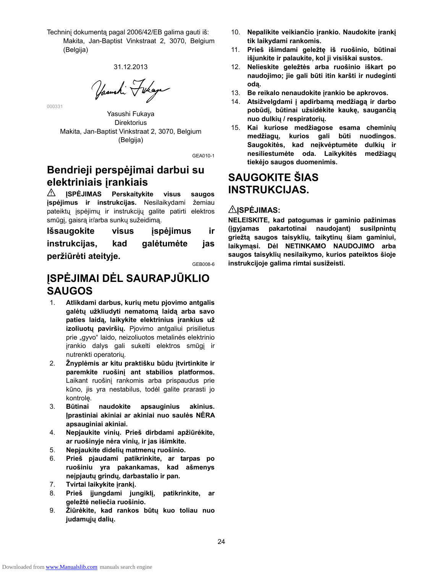Techninį dokumentą pagal 2006/42/EB galima gauti iš: Makita, Jan-Baptist Vinkstraat 2, 3070, Belgium (Belgija)

31.12.2013

Yasushi Fukaya

Yasushi Fukaya **Direktorius** Makita, Jan-Baptist Vinkstraat 2, 3070, Belgium (Belgija)

000331

GEA010-1

## **Bendrieji perspėjimai darbui su elektriniais įrankiais**

**ĮSPĖJIMAS Perskaitykite visus saugos**  ⚠. **įspėjimus ir instrukcijas.** Nesilaikydami žemiau pateiktų įspėjimų ir instrukcijų galite patirti elektros smūgį, gaisrą ir/arba sunkų sužeidimą.

**Išsaugokite visus įspėjimus ir instrukcijas, kad galėtumėte jas peržiūrėti ateityje.** 

GEB008-6

## **ĮSPĖJIMAI DĖL SAURAPJŪKLIO SAUGOS**

- 1. **Atlikdami darbus, kurių metu pjovimo antgalis galėtų užkliudyti nematomą laidą arba savo paties laidą, laikykite elektrinius įrankius už izoliuotų paviršių.** Pjovimo antgaliui prisilietus prie "gyvo" laido, neizoliuotos metalinės elektrinio įrankio dalys gali sukelti elektros smūgį ir nutrenkti operatorių.
- 2. **Žnyplėmis ar kitu praktišku būdu įtvirtinkite ir paremkite ruošinį ant stabilios platformos.** Laikant ruošinį rankomis arba prispaudus prie kūno, jis yra nestabilus, todėl galite prarasti jo kontrolę.
- 3. **Būtinai naudokite apsauginius akinius. Įprastiniai akiniai ar akiniai nuo saulės NĖRA apsauginiai akiniai.**
- 4. **Nepjaukite vinių. Prieš dirbdami apžiūrėkite, ar ruošinyje nėra vinių, ir jas išimkite.**
- 5. **Nepjaukite didelių matmenų ruošinio.**
- 6. **Prieš pjaudami patikrinkite, ar tarpas po ruošiniu yra pakankamas, kad ašmenys neįpjautų grindų, darbastalio ir pan.**
- 7. **Tvirtai laikykite įrankį.**
- 8. **Prieš įjungdami jungiklį, patikrinkite, ar geležtė neliečia ruošinio.**
- 9. **Žiūrėkite, kad rankos būtų kuo toliau nuo judamųjų dalių.**
- 10. **Nepalikite veikiančio įrankio. Naudokite įrankį tik laikydami rankomis.**
- 11. **Prieš išimdami geležtę iš ruošinio, būtinai išjunkite ir palaukite, kol ji visiškai sustos.**
- 12. **Nelieskite geležtės arba ruošinio iškart po naudojimo; jie gali būti itin karšti ir nudeginti odą.**
- 13. **Be reikalo nenaudokite įrankio be apkrovos.**
- 14. **Atsižvelgdami į apdirbamą medžiagą ir darbo pobūdį, būtinai užsidėkite kaukę, saugančią nuo dulkių / respiratorių.**
- 15. **Kai kuriose medžiagose esama cheminių medžiagų, kurios gali būti nuodingos. Saugokitės, kad neįkvėptumėte dulkių ir nesiliestumėte oda. Laikykitės medžiagų tiekėjo saugos duomenimis.**

## **SAUGOKITE ŠIAS INSTRUKCIJAS.**

### **ĮSPĖJIMAS:**

**NELEISKITE, kad patogumas ir gaminio pažinimas (įgyjamas pakartotinai naudojant) susilpnintų griežtą saugos taisyklių, taikytinų šiam gaminiui, laikymąsi. Dėl NETINKAMO NAUDOJIMO arba saugos taisyklių nesilaikymo, kurios pateiktos šioje instrukcijoje galima rimtai susižeisti.**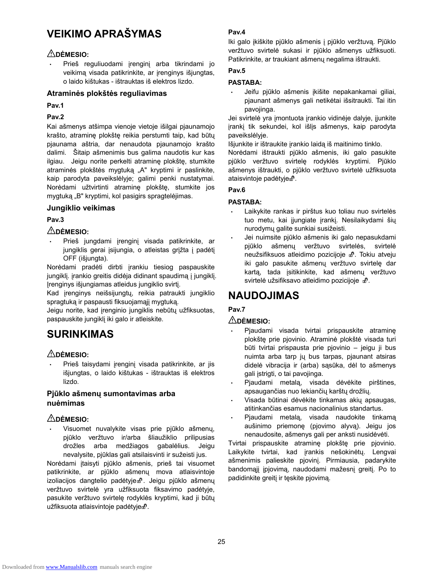## **VEIKIMO APRAŠYMAS**

## **DĖMESIO:**

• Prieš reguliuodami įrenginį arba tikrindami jo veikimą visada patikrinkite, ar įrenginys išjungtas, o laido kištukas - ištrauktas iš elektros lizdo.

#### **Atraminės plokštės reguliavimas**

#### **Pav.1**

### **Pav.2**

Kai ašmenys atšimpa vienoje vietoje išilgai pjaunamojo krašto, atraminę plokštę reikia perstumti taip, kad būtų pjaunama aštria, dar nenaudota pjaunamojo krašto dalimi. Šitaip ašmenimis bus galima naudotis kur kas ilgiau. Jeigu norite perkelti atraminę plokštę, stumkite atraminės plokštės mygtuką "A" kryptimi ir paslinkite, kaip parodyta paveikslėlyje; galimi penki nustatymai. Norėdami užtvirtinti atraminę plokštę, stumkite jos mygtuką "B" kryptimi, kol pasigirs spragtelėjimas.

### **Jungiklio veikimas**

### **Pav.3**

## **DĖMESIO:**

• Prieš jungdami įrenginį visada patikrinkite, ar jungiklis gerai įsijungia, o atleistas grįžta į padėtį OFF (išjungta).

Norėdami pradėti dirbti įrankiu tiesiog paspauskite jungiklį. įrankio greitis didėja didinant spaudimą į jungiklį. Įrenginys išjungiamas atleidus jungiklio svirtį.

Kad įrenginys neišsijungtų, reikia patraukti jungiklio spragtuką ir paspausti fiksuojamąjį mygtuką.

Jeigu norite, kad įrenginio jungiklis nebūtų užfiksuotas, paspauskite jungiklį iki galo ir atleiskite.

## **SURINKIMAS**

## **DĖMESIO:**

• Prieš taisydami įrenginį visada patikrinkite, ar jis išjungtas, o laido kištukas - ištrauktas iš elektros lizdo.

### **Pjūklo ašmenų sumontavimas arba nuėmimas**

#### **DĖMESIO:**

• Visuomet nuvalykite visas prie pjūklo ašmenų, pjūklo veržtuvo ir/arba šliaužiklio prilipusias drožles arba medžiagos gabalėlius. Jeigu nevalysite, pjūklas gali atsilaisvinti ir sužeisti jus.

Norėdami įtaisyti pjūklo ašmenis, prieš tai visuomet patikrinkite, ar pjūklo ašmenų mova atlaisvintoje izoliacijos dangtelio padėtyje $\mathbb{P}$ . Jeigu pjūklo ašmenų veržtuvo svirtelė yra užfiksuota fiksavimo padėtyje, pasukite veržtuvo svirtelę rodyklės kryptimi, kad ji būtų užfiksuota atlaisvintoje padėtyje $\mathbf{f}$ .

#### **Pav.4**

Iki galo įkiškite pjūklo ašmenis į pjūklo veržtuvą. Pjūklo veržtuvo svirtelė sukasi ir pjūklo ašmenys užfiksuoti. Patikrinkite, ar traukiant ašmenų negalima ištraukti.

### **Pav.5**

### **PASTABA:**

• Jeifu pjūklo ašmenis įkišite nepakankamai giliai, pjaunant ašmenys gali netikėtai išsitraukti. Tai itin pavojinga.

Jei svirtelė yra įmontuota įrankio vidinėje dalyje, įjunkite įrankį tik sekundei, kol išlįs ašmenys, kaip parodyta paveikslėlyje.

Išjunkite ir ištraukite įrankio laidą iš maitinimo tinklo.

Norėdami ištraukti pjūklo ašmenis, iki galo pasukite pjūklo veržtuvo svirtelę rodyklės kryptimi. Pjūklo ašmenys ištraukti, o pjūklo veržtuvo svirtelė užfiksuota ataisvintoje padėtyje $\mathbf{f}$ .

## **Pav.6**

#### **PASTABA:**

- Laikykite rankas ir pirštus kuo toliau nuo svirtelės tuo metu, kai įjungiate įrankį. Nesilaikydami šių nurodymų galite sunkiai susižeisti.
- Jei nuimsite pjūklo ašmenis iki galo nepasukdami pjūklo ašmenų veržtuvo svirtelės, svirtelė neužsifiksuos atleidimo pozicijoje  $\mathbf{f}$ . Tokiu atveju iki galo pasukite ašmenų veržtuvo svirtelę dar kartą, tada įsitikinkite, kad ašmenų veržtuvo svirtelė užsifiksavo atleidimo pozicijoje  $\mathbf{d}^0$ .

## **NAUDOJIMAS**

## **Pav.7**

### **DĖMESIO:**

- Pjaudami visada tvirtai prispauskite atraminę plokštę prie pjovinio. Atraminė plokštė visada turi būti tvirtai prispausta prie pjovinio – jeigu ji bus nuimta arba tarp jų bus tarpas, pjaunant atsiras didelė vibracija ir (arba) sąsūka, dėl to ašmenys gali įstrigti, o tai pavojinga.
- Pjaudami metalą, visada dėvėkite pirštines, apsaugančias nuo lekiančių karštų drožlių.
- Visada būtinai dėvėkite tinkamas akių apsaugas, atitinkančias esamus nacionalinius standartus.
- Pjaudami metalą, visada naudokite tinkamą aušinimo priemonę (pjovimo alyvą). Jeigu jos nenaudosite, ašmenys gali per anksti nusidėvėti.

Tvirtai prispauskite atraminę plokštę prie pjovinio. Laikykite tvirtai, kad įrankis nešokinėtų. Lengvai ašmenimis palieskite pjovinį. Pirmiausia, padarykite bandomąjį įpjovimą, naudodami mažesnį greitį. Po to padidinkite greitį ir tęskite pjovimą.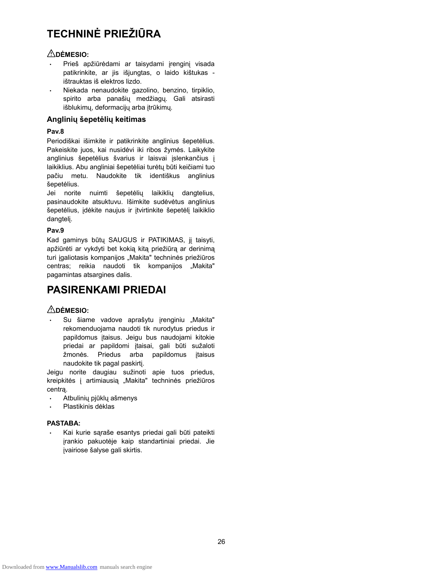## **TECHNINĖ PRIEŽIŪRA**

### **DĖMESIO:**

- Prieš apžiūrėdami ar taisydami įrenginį visada patikrinkite, ar jis išjungtas, o laido kištukas ištrauktas iš elektros lizdo.
- Niekada nenaudokite gazolino, benzino, tirpiklio, spirito arba panašių medžiagų. Gali atsirasti išblukimų, deformacijų arba įtrūkimų.

#### **Anglinių šepetėlių keitimas**

#### **Pav.8**

Periodiškai išimkite ir patikrinkite anglinius šepetėlius. Pakeiskite juos, kai nusidėvi iki ribos žymės. Laikykite anglinius šepetėlius švarius ir laisvai įslenkančius į laikiklius. Abu angliniai šepetėliai turėtų būti keičiami tuo pačiu metu. Naudokite tik identiškus anglinius šepetėlius.

Jei norite nuimti šepetėlių laikiklių dangtelius, pasinaudokite atsuktuvu. Išimkite sudėvėtus anglinius šepetėlius, įdėkite naujus ir įtvirtinkite šepetėlį laikiklio dangtelį.

#### **Pav.9**

Kad gaminys būtų SAUGUS ir PATIKIMAS, jį taisyti, apžiūrėti ar vykdyti bet kokią kitą priežiūrą ar derinimą turi įgaliotasis kompanijos "Makita" techninės priežiūros centras; reikia naudoti tik kompanijos "Makita" pagamintas atsargines dalis.

## **PASIRENKAMI PRIEDAI**

### **DĖMESIO:**

Su šiame vadove aprašytu įrenginiu "Makita" rekomenduojama naudoti tik nurodytus priedus ir papildomus įtaisus. Jeigu bus naudojami kitokie priedai ar papildomi įtaisai, gali būti sužaloti žmonės. Priedus arba papildomus įtaisus naudokite tik pagal paskirtį.

Jeigu norite daugiau sužinoti apie tuos priedus, kreipkitės į artimiausią "Makita" techninės priežiūros centrą.

- Atbulinių pjūklų ašmenys
- Plastikinis dėklas

#### **PASTABA:**

• Kai kurie sąraše esantys priedai gali būti pateikti įrankio pakuotėje kaip standartiniai priedai. Jie įvairiose šalyse gali skirtis.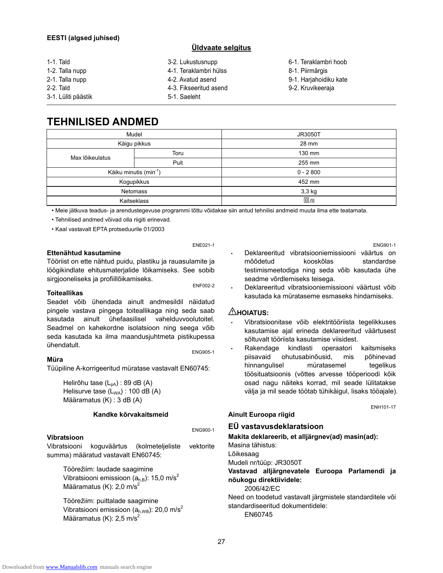#### **EESTI (algsed juhised)**

#### **Üldvaate selgitus**

| 1-1. Tald           | 3-2. Lukustusnupp      | 6-1. Teraklambri hoob  |
|---------------------|------------------------|------------------------|
| 1-2. Talla nupp     | 4-1. Teraklambri hülss | 8-1. Piirmärgis        |
| 2-1. Talla nupp     | 4-2. Avatud asend      | 9-1. Harjahoidiku kate |
| 2-2. Tald           | 4-3. Fikseeritud asend | 9-2. Kruvikeeraja      |
| 3-1. Lüliti päästik | 5-1. Saeleht           |                        |
|                     |                        |                        |

## **TEHNILISED ANDMED**

| Mudel                              |              | JR3050T    |
|------------------------------------|--------------|------------|
|                                    | Käigu pikkus | 28 mm      |
| Max lõikeulatus                    | Toru         | 130 mm     |
|                                    | Puit         | 255 mm     |
| Käiku minutis (min <sup>-1</sup> ) |              | $0 - 2800$ |
|                                    | Kogupikkus   | 452 mm     |
| <b>Netomass</b>                    |              | $3,3$ kg   |
|                                    | Kaitseklass  | $\Box$ /II |

• Meie jätkuva teadus- ja arendustegevuse programmi tõttu võidakse siin antud tehnilisi andmeid muuta ilma ette teatamata.

• Tehnilised andmed võivad olla riigiti erinevad.

• Kaal vastavalt EPTA protseduurile 01/2003

#### **Ettenähtud kasutamine**

Tööriist on ette nähtud puidu, plastiku ja rauasulamite ja löögikindlate ehitusmaterjalide lõikamiseks. See sobib sirgjooneliseks ja profiillõikamiseks.

ENE021-1

#### **Toiteallikas**

Seadet võib ühendada ainult andmesildil näidatud pingele vastava pingega toiteallikaga ning seda saab kasutada ainult ühefaasilisel vahelduvvoolutoitel. Seadmel on kahekordne isolatsioon ning seega vőib seda kasutada ka ilma maandusjuhtmeta pistikupessa ühendatult. ENG905-1

#### **Müra**

Tüüpiline A-korrigeeritud müratase vastavalt EN60745:

Helirõhu tase  $(L_{pA})$ : 89 dB (A) Helisurve tase  $(L_{WA})$ : 100 dB  $(A)$ Määramatus (K) : 3 dB (A)

#### **Kandke kõrvakaitsmeid**

#### **Vibratsioon**

ENG900-1

Vibratsiooni koguväärtus (kolmeteljeliste vektorite summa) määratud vastavalt EN60745:

Töörežiim: laudade saagimine Vibratsiooni emissioon  $(a<sub>h,B</sub>)$ : 15,0 m/s<sup>2</sup> Määramatus (K):  $2.0 \text{ m/s}^2$ 

Töörežiim: puittalade saagimine Vibratsiooni emissioon  $(a_{h,WB})$ : 20,0 m/s<sup>2</sup> Määramatus (K):  $2,5 \text{ m/s}^2$ 

ENG901-1 • Deklareeritud vibratsiooniemissiooni väärtus on mõõdetud kooskõlas standardse testimismeetodiga ning seda võib kasutada ühe seadme võrdlemiseks teisega.

• Deklareeritud vibratsiooniemissiooni väärtust võib kasutada ka mürataseme esmaseks hindamiseks.

#### **HOIATUS:**

- Vibratsioonitase võib elektritööriista tegelikkuses kasutamise ajal erineda deklareeritud väärtusest sõltuvalt tööriista kasutamise viisidest.
- Rakendage kindlasti operaatori kaitsmiseks piisavaid ohutusabinõusid, mis põhinevad hinnangulisel müratasemel tegelikus töösituatsioonis (võttes arvesse tööperioodi kõik osad nagu näiteks korrad, mil seade lülitatakse välja ja mil seade töötab tühikäigul, lisaks tööajale).

ENH101-17

## **Ainult Euroopa riigid**

#### **EÜ vastavusdeklaratsioon**

**Makita deklareerib, et alljärgnev(ad) masin(ad):** 

Masina tähistus:

Lõikesaag

Mudeli nr/tüüp: JR3050T

**Vastavad alljärgnevatele Euroopa Parlamendi ja nõukogu direktiividele:** 

2006/42/EC

Need on toodetud vastavalt järgmistele standarditele või standardiseeritud dokumentidele:

EN60745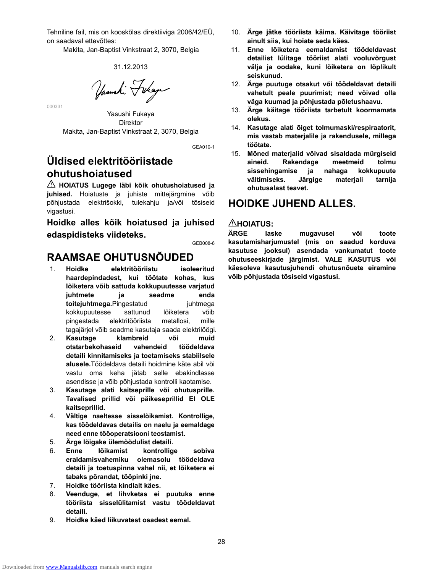Tehniline fail, mis on kooskõlas direktiiviga 2006/42/EÜ, on saadaval ettevõttes:

Makita, Jan-Baptist Vinkstraat 2, 3070, Belgia

#### 31.12.2013

Yasushi Fikaya

Yasushi Fukaya Direktor Makita, Jan-Baptist Vinkstraat 2, 3070, Belgia

GEA010-1

## **Üldised elektritööriistade ohutushoiatused**

000331

**HOIATUS Lugege läbi kõik ohutushoiatused ja juhised.** Hoiatuste ja juhiste mittejärgmine võib põhjustada elektrišokki, tulekahju ja/või tõsiseid vigastusi.

**Hoidke alles kõik hoiatused ja juhised edaspidisteks viideteks.** 

GEB008-6

## **RAAMSAE OHUTUSNÕUDED**

- 1. **Hoidke elektritööriistu isoleeritud haardepindadest, kui töötate kohas, kus lõiketera võib sattuda kokkupuutesse varjatud juhtmete ja seadme enda toiteiuhtmega.**Pingestatud iuhtmega kokkupuutesse sattunud lõiketera võib pingestada elektritööriista metallosi, mille tagajärjel võib seadme kasutaja saada elektrilöögi.
- 2. **Kasutage klambreid või muid otstarbekohaseid vahendeid töödeldava detaili kinnitamiseks ja toetamiseks stabiilsele alusele.**Töödeldava detaili hoidmine käte abil või vastu oma keha jätab selle ebakindlasse asendisse ja võib põhjustada kontrolli kaotamise.
- 3. **Kasutage alati kaitseprille või ohutusprille. Tavalised prillid või päikeseprillid EI OLE kaitseprillid.**
- 4. **Vältige naeltesse sisselõikamist. Kontrollige, kas töödeldavas detailis on naelu ja eemaldage need enne tööoperatsiooni teostamist.**
- 5. **Ärge lõigake ülemõõdulist detaili.**
- 6. **Enne lõikamist kontrollige sobiva eraldamisvahemiku olemasolu töödeldava detaili ja toetuspinna vahel nii, et lõiketera ei tabaks põrandat, tööpinki jne.**
- 7. **Hoidke tööriista kindlalt käes.**
- 8. **Veenduge, et lihvketas ei puutuks enne tööriista sisselülitamist vastu töödeldavat detaili.**
- 9. **Hoidke käed liikuvatest osadest eemal.**
- 10. **Ärge jätke tööriista käima. Käivitage tööriist ainult siis, kui hoiate seda käes.**
- 11. **Enne lõiketera eemaldamist töödeldavast detailist lülitage tööriist alati vooluvõrgust välja ja oodake, kuni lõiketera on lõplikult seiskunud.**
- 12. **Ärge puutuge otsakut või töödeldavat detaili vahetult peale puurimist; need võivad olla väga kuumad ja põhjustada põletushaavu.**
- 13. **Ärge käitage tööriista tarbetult koormamata olekus.**
- 14. **Kasutage alati õiget tolmumaski/respiraatorit, mis vastab materjalile ja rakendusele, millega töötate.**
- 15. **Mõned materjalid võivad sisaldada mürgiseid aineid. Rakendage meetmeid tolmu sissehingamise ja nahaga kokkupuute vältimiseks. Järgige materjali tarnija ohutusalast teavet.**

## **HOIDKE JUHEND ALLES.**

### $\triangle$ HOIATUS:

**ÄRGE laske mugavusel või toote kasutamisharjumustel (mis on saadud korduva kasutuse jooksul) asendada vankumatut toote ohutuseeskirjade järgimist. VALE KASUTUS või käesoleva kasutusjuhendi ohutusnõuete eiramine võib põhjustada tõsiseid vigastusi.**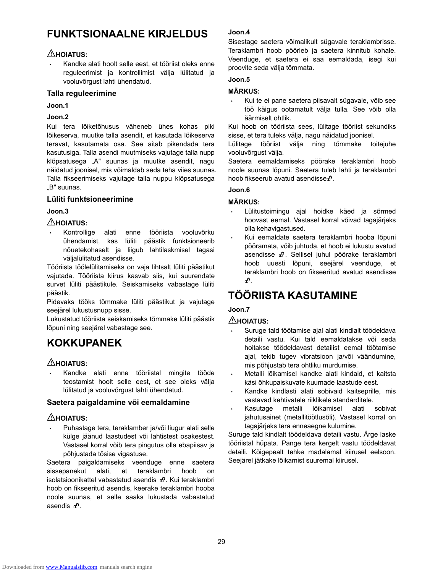## **FUNKTSIONAALNE KIRJELDUS**

### **HOIATUS:**

• Kandke alati hoolt selle eest, et tööriist oleks enne reguleerimist ja kontrollimist välja lülitatud ja vooluvõrgust lahti ühendatud.

#### **Talla reguleerimine**

**Joon.1** 

#### **Joon.2**

Kui tera lõiketõhusus väheneb ühes kohas piki lõikeserva, muutke talla asendit, et kasutada lõikeserva teravat, kasutamata osa. See aitab pikendada tera kasutusiga. Talla asendi muutmiseks vajutage talla nupp klõpsatusega "A" suunas ja muutke asendit, nagu näidatud joonisel, mis võimaldab seda teha viies suunas. Talla fikseerimiseks vajutage talla nuppu klõpsatusega "B" suunas.

#### **Lüliti funktsioneerimine**

#### **Joon.3**

### **HOIATUS:**

• Kontrollige alati enne tööriista vooluvõrku ühendamist, kas lüliti päästik funktsioneerib nõuetekohaselt ja liigub lahtilaskmisel tagasi väljalülitatud asendisse.

Tööriista töölelülitamiseks on vaja lihtsalt lüliti päästikut vajutada. Tööriista kiirus kasvab siis, kui suurendate survet lüliti päästikule. Seiskamiseks vabastage lüliti päästik.

Pidevaks tööks tõmmake lüliti päästikut ja vajutage seejärel lukustusnupp sisse.

Lukustatud tööriista seiskamiseks tõmmake lüliti päästik lõpuni ning seejärel vabastage see.

## **KOKKUPANEK**

### **HOIATUS:**

• Kandke alati enne tööriistal mingite tööde teostamist hoolt selle eest, et see oleks välja lülitatud ja vooluvõrgust lahti ühendatud.

#### **Saetera paigaldamine või eemaldamine**

### $\triangle$ HOIATUS:

• Puhastage tera, teraklamber ja/või liugur alati selle külge jäänud laastudest või lahtistest osakestest. Vastasel korral võib tera pingutus olla ebapiisav ja põhjustada tõsise vigastuse.

Saetera paigaldamiseks veenduge enne saetera sissepanekut alati, et teraklambri hoob on isolatsioonikattel vabastatud asendis  $\mathbf{d}^{\text{o}}$ . Kui teraklambri hoob on fikseeritud asendis, keerake teraklambri hooba noole suunas, et selle saaks lukustada vabastatud asendis  $\mathbf{m}$ .

#### **Joon.4**

Sisestage saetera võimalikult sügavale teraklambrisse. Teraklambri hoob pöörleb ja saetera kinnitub kohale. Veenduge, et saetera ei saa eemaldada, isegi kui proovite seda välja tõmmata.

#### **Joon.5**

#### **MÄRKUS:**

• Kui te ei pane saetera piisavalt sügavale, võib see töö käigus ootamatult välja tulla. See võib olla äärmiselt ohtlik.

Kui hoob on tööriista sees, lülitage tööriist sekundiks sisse, et tera tuleks välja, nagu näidatud joonisel.

Lülitage tööriist välja ning tõmmake toitejuhe vooluvõrgust välja.

Saetera eemaldamiseks pöörake teraklambri hoob noole suunas lõpuni. Saetera tuleb lahti ja teraklambri hoob fikseerub avatud asendisse $\mathbb{R}$ .

#### **Joon.6**

#### **MÄRKUS:**

- Lülitustoimingu ajal hoidke käed ja sõrmed hoovast eemal. Vastasel korral võivad tagajärjeks olla kehavigastused.
- Kui eemaldate saetera teraklambri hooba lõpuni pööramata, võib juhtuda, et hoob ei lukustu avatud asendisse  $\mathbb{d}^0$ . Sellisel juhul pöörake teraklambri hoob uuesti lõpuni, seejärel veenduge, et teraklambri hoob on fikseeritud avatud asendisse .

## **TÖÖRIISTA KASUTAMINE**

### **Joon.7**

### **HOIATUS:**

- Suruge tald töötamise ajal alati kindlalt töödeldava detaili vastu. Kui tald eemaldatakse või seda hoitakse töödeldavast detailist eemal töötamise ajal, tekib tugev vibratsioon ja/või väändumine, mis põhjustab tera ohtliku murdumise.
- Metalli lõikamisel kandke alati kindaid, et kaitsta käsi õhkupaiskuvate kuumade laastude eest.
- Kandke kindlasti alati sobivaid kaitseprille, mis vastavad kehtivatele riiklikele standarditele.
- Kasutage metalli lõikamisel alati sobivat jahutusainet (metallitöötlusõli). Vastasel korral on tagajärjeks tera enneaegne kulumine.

Suruge tald kindlalt töödeldava detaili vastu. Ärge laske tööriistal hüpata. Pange tera kergelt vastu töödeldavat detaili. Kõigepealt tehke madalamal kiirusel eelsoon. Seejärel jätkake lõikamist suuremal kiirusel.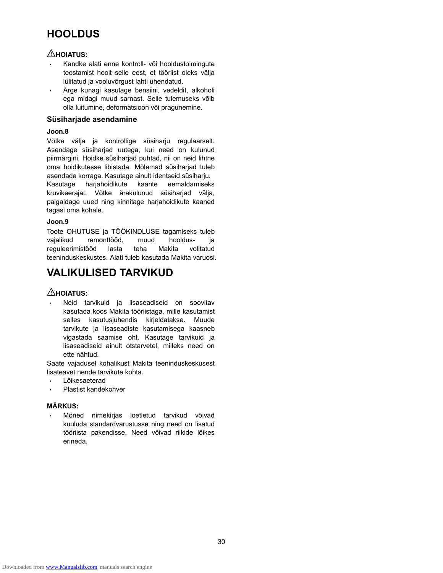## **HOOLDUS**

## **HOIATUS:**

- Kandke alati enne kontroll- või hooldustoimingute teostamist hoolt selle eest, et tööriist oleks välja lülitatud ja vooluvõrgust lahti ühendatud.
- Ärge kunagi kasutage bensiini, vedeldit, alkoholi ega midagi muud sarnast. Selle tulemuseks võib olla luitumine, deformatsioon või pragunemine.

#### **Süsiharjade asendamine**

#### **Joon.8**

Võtke välja ja kontrollige süsiharju regulaarselt. Asendage süsiharjad uutega, kui need on kulunud piirmärgini. Hoidke süsiharjad puhtad, nii on neid lihtne oma hoidikutesse libistada. Mõlemad süsiharjad tuleb asendada korraga. Kasutage ainult identseid süsiharju. Kasutage harjahoidikute kaante eemaldamiseks kruvikeerajat. Võtke ärakulunud süsiharjad välja,

paigaldage uued ning kinnitage harjahoidikute kaaned tagasi oma kohale.

#### **Joon.9**

Toote OHUTUSE ja TÖÖKINDLUSE tagamiseks tuleb vajalikud remonttööd, muud hooldus- ja reguleerimistööd lasta teha Makita volitatud teeninduskeskustes. Alati tuleb kasutada Makita varuosi.

## **VALIKULISED TARVIKUD**

### $\triangle$ HOIATUS:

• Neid tarvikuid ja lisaseadiseid on soovitav kasutada koos Makita tööriistaga, mille kasutamist selles kasutusjuhendis kirjeldatakse. Muude tarvikute ja lisaseadiste kasutamisega kaasneb vigastada saamise oht. Kasutage tarvikuid ja lisaseadiseid ainult otstarvetel, milleks need on ette nähtud.

Saate vajadusel kohalikust Makita teeninduskeskusest lisateavet nende tarvikute kohta.

- Lõikesaeterad
- Plastist kandekohver

#### **MÄRKUS:**

• Mõned nimekirjas loetletud tarvikud võivad kuuluda standardvarustusse ning need on lisatud tööriista pakendisse. Need võivad riikide lõikes erineda.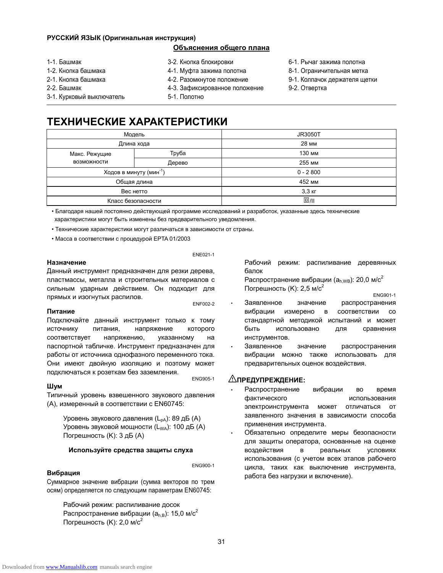#### **РУССКИЙ ЯЗЫК (Оригинальная инструкция)**

#### **Объяснения общего плана**

- 1-1. Башмак
- 1-2. Кнопка башмака
- 2-1. Кнопка башмака
- 2-2. Башмак
- 3-2. Кнопка блокировки
- 4-1. Муфта зажима полотна
- 4-2. Разомкнутое положение
- 4-3. Зафиксированное положение
- 5-1. Полотно
- 6-1. Рычаг зажима полотна
- 8-1. Ограничительная метка
- 9-1. Колпачок держателя щетки
- 9-2. Отвертка

3-1. Курковый выключатель

## **ТЕХНИЧЕСКИЕ ХАРАКТЕРИСТИКИ**

|                    | Модель                              | <b>JR3050T</b>       |
|--------------------|-------------------------------------|----------------------|
|                    | Длина хода                          | 28 MM                |
| Макс. Режущие      | Труба                               | 130 мм               |
| <b>ВОЗМОЖНОСТИ</b> | Дерево                              | 255 MM               |
|                    | Ходов в минуту (мин <sup>-1</sup> ) | $0 - 2800$           |
|                    | Общая длина                         | 452 MM               |
| Вес нетто          |                                     | $3,3$ $\overline{K}$ |
|                    | Класс безопасности                  | $\Box$ /II           |

• Благодаря нашей постоянно действующей программе исследований и разработок, указанные здесь технические характеристики могут быть изменены без предварительного уведомления.

• Технические характеристики могут различаться в зависимости от страны.

• Масса в соответствии с процедурой EPTA 01/2003

#### **Назначение**

ENE021-1

Данный инструмент предназначен для резки дерева, пластмассы, металла и строительных материалов с сильным ударным действием. Он подходит для прямых и изогнутых распилов.<br>ENF002-2

#### **Питание**

Подключайте данный инструмент только к тому источнику питания, напряжение которого соответствует напряжению, указанному на паспортной табличке. Инструмент предназначен для работы от источника однофазного переменного тока. Они имеют двойную изоляцию и поэтому может подключаться <sup>к</sup> розеткам без заземления. ENG905-1

#### **Шум**

Типичный уровень взвешенного звукового давления (A), измеренный в соответствии с EN60745:

Уровень звукового давления (L<sub>pA</sub>): 89 дБ (A) Уровень звуковой мощности (L<sub>WA</sub>): 100 дБ (A) Погрешность (K): 3 дБ (A)

#### **Используйте средства защиты слуха**

#### **Вибрация**

ENG900-1

Суммарное значение вибрации (сумма векторов по трем осям) определяется по следующим параметрам EN60745:

Рабочий режим: распиливание досок Распространение вибрации ( $a_{h,B}$ ): 15,0 м/с<sup>2</sup> Погрешность (K): 2,0 м/с<sup>2</sup>

Рабочий режим: распиливание деревянных балок

Распространение вибрации ( $a<sub>h,WB</sub>$ ): 20,0 м/с<sup>2</sup> Погрешность  $(K)$ : 2,5 м/с<sup>2</sup> ENG901-1

- Заявленное значение распространения вибрации измерено в соответствии со стандартной методикой испытаний и может быть использовано для сравнения инструментов.
- Заявленное значение распространения вибрации можно также использовать для предварительных оценок воздействия.

#### **ПРЕДУПРЕЖДЕНИЕ:**

- Распространение вибрации во время фактического использования электроинструмента может отличаться от заявленного значения в зависимости способа применения инструмента.
- Обязательно определите меры безопасности для защиты оператора, основанные на оценке воздействия в реальных условиях использования (с учетом всех этапов рабочего цикла, таких как выключение инструмента, работа без нагрузки и включение).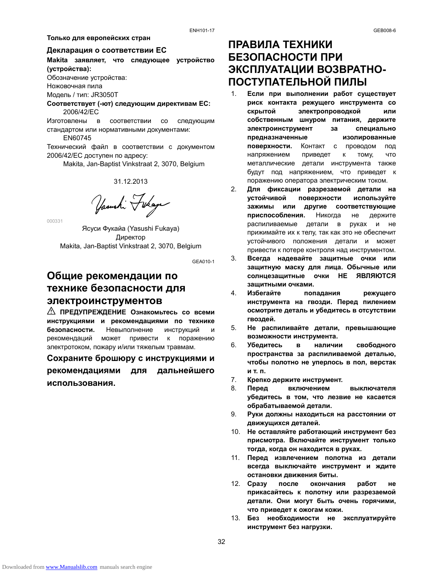#### **Только для европейских стран**

#### **Декларация о соответствии ЕС**

**Makita заявляет, что следующее устройство (устройства):**  Обозначение устройства:

Ножовочная пила

Модель / тип: JR3050T

**Соответствует (-ют) следующим директивам ЕС:**  2006/42/EC

Изготовлены в соответствии со следующим стандартом или нормативными документами:

EN60745

Технический файл в соответствии с документом 2006/42/EC доступен по адресу:

Makita, Jan-Baptist Vinkstraat 2, 3070, Belgium

31.12.2013

Yasushi Fukaya

000331

Ясуси Фукайа (Yasushi Fukaya) Директор Makita, Jan-Baptist Vinkstraat 2, 3070, Belgium

GEA010-1

## **Общие рекомендации по технике безопасности для электроинструментов**

**ПРЕДУПРЕЖДЕНИЕ Ознакомьтесь со всеми инструкциями и рекомендациями по технике безопасности.** Невыполнение инструкций и рекомендаций может привести к поражению электротоком, пожару и/или тяжелым травмам.

# **Сохраните брошюру с инструкциями и**

**рекомендациями для дальнейшего использования.** 

## **ПРАВИЛА ТЕХНИКИ БЕЗОПАСНОСТИ ПРИ ЭКСПЛУАТАЦИИ ВОЗВРАТНО-ПОСТУПАТЕЛЬНОЙ ПИЛЫ**

- 1. **Если при выполнении работ существует риск контакта режущего инструмента со скрытой электропроводкой или собственным шнуром питания, держите электроинструмент за специально предназначенные изолированные поверхности.** Контакт с проводом под напряжением приведет к тому, что металлические детали инструмента также будут под напряжением, что приведет к поражению оператора электрическим током.
- 2. **Для фиксации разрезаемой детали на устойчивой поверхности используйте зажимы или другие соответствующие приспособления.** Никогда не держите распиливаемые детали в руках и не прижимайте их к телу, так как это не обеспечит устойчивого положения детали и может привести к потере контроля над инструментом.
- 3. **Всегда надевайте защитные очки или защитную маску для лица. Обычные или солнцезащитные очки НЕ ЯВЛЯЮТСЯ защитными очками.**
- 4. **Избегайте попадания режущего инструмента на гвозди. Перед пилением осмотрите деталь и убедитесь в отсутствии гвоздей.**
- 5. **Не распиливайте детали, превышающие возможности инструмента.**
- 6. **Убедитесь в наличии свободного пространства за распиливаемой деталью, чтобы полотно не уперлось в пол, верстак и т. п.**
- 7. **Крепко держите инструмент.**
- 8. **Перед включением выключателя убедитесь в том, что лезвие не касается обрабатываемой детали.**
- 9. **Руки должны находиться на расстоянии от движущихся деталей.**
- 10. **Не оставляйте работающий инструмент без присмотра. Включайте инструмент только тогда, когда он находится в руках.**
- 11. **Перед извлечением полотна из детали всегда выключайте инструмент и ждите остановки движения биты.**
- 12. **Сразу после окончания работ не прикасайтесь к полотну или разрезаемой детали. Они могут быть очень горячими, что приведет к ожогам кожи.**
- 13. **Без необходимости не эксплуатируйте инструмент без нагрузки.**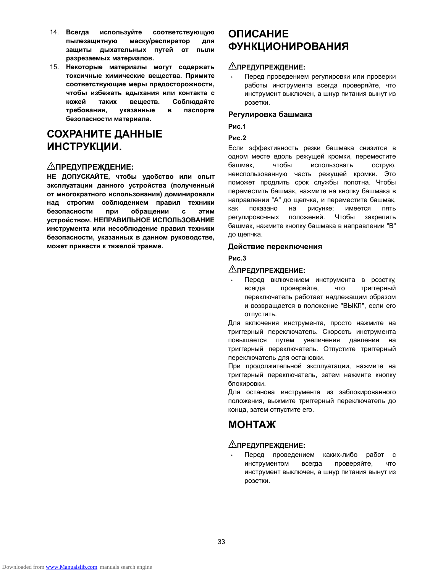- 14. **Всегда используйте соответствующую пылезащитную маску/респиратор для защиты дыхательных путей от пыли разрезаемых материалов.**
- 15. **Некоторые материалы могут содержать токсичные химические вещества. Примите соответствующие меры предосторожности, чтобы избежать вдыхания или контакта с кожей таких веществ. Соблюдайте требования, указанные в паспорте безопасности материала.**

## **СОХРАНИТЕ ДАННЫЕ ИНСТРУКЦИИ.**

### **ПРЕДУПРЕЖДЕНИЕ:**

**НЕ ДОПУСКАЙТЕ, чтобы удобство или опыт эксплуатации данного устройства (полученный от многократного использования) доминировали над строгим соблюдением правил техники безопасности при обращении с этим устройством. НЕПРАВИЛЬНОЕ ИСПОЛЬЗОВАНИЕ инструмента или несоблюдение правил техники безопасности, указанных в данном руководстве, может привести к тяжелой травме.** 

## **ОПИСАНИЕ ФУНКЦИОНИРОВАНИЯ**

#### **ПРЕДУПРЕЖДЕНИЕ:**

• Перед проведением регулировки или проверки работы инструмента всегда проверяйте, что инструмент выключен, а шнур питания вынут из розетки.

#### **Регулировка башмака**

**Рис.1** 

#### **Рис.2**

Если эффективность резки башмака снизится в одном месте вдоль режущей кромки, переместите башмак, чтобы использовать острую, неиспользованную часть режущей кромки. Это поможет продлить срок службы полотна. Чтобы переместить башмак, нажмите на кнопку башмака в направлении "A" до щелчка, и переместите башмак, как показано на рисунке; имеется пять регулировочных положений. Чтобы закрепить башмак, нажмите кнопку башмака в направлении "B" до щелчка.

#### **Действие переключения**

**Рис.3** 

#### **ПРЕДУПРЕЖДЕНИЕ:**

• Перед включением инструмента в розетку, всегда проверяйте, что триггерный переключатель работает надлежащим образом и возвращается в положение "ВЫКЛ", если его отпустить.

Для включения инструмента, просто нажмите на триггерный переключатель. Скорость инструмента повышается путем увеличения давления на триггерный переключатель. Отпустите триггерный переключатель для остановки.

При продолжительной эксплуатации, нажмите на триггерный переключатель, затем нажмите кнопку блокировки.

Для останова инструмента из заблокированного положения, выжмите триггерный переключатель до конца, затем отпустите его.

## **МОНТАЖ**

#### **ПРЕДУПРЕЖДЕНИЕ:**

• Перед проведением каких-либо работ с инструментом всегда проверяйте, что инструмент выключен, а шнур питания вынут из розетки.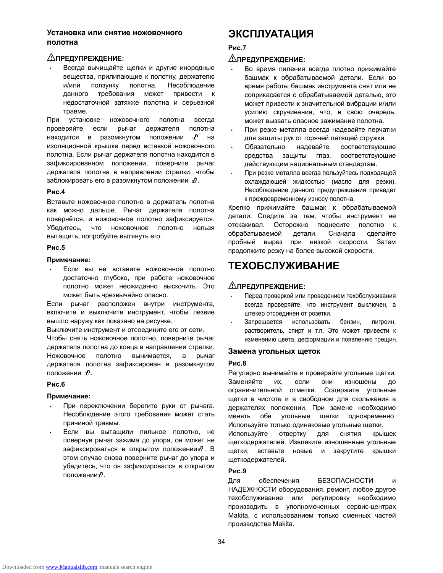#### **Установка или снятие ножовочного полотна**

#### **ПРЕДУПРЕЖДЕНИЕ:**

• Всегда вычищайте щепки и другие инородные вещества, прилипающие к полотну, держателю и/или ползунку полотна. Несоблюдение данного требования может привести к недостаточной затяжке полотна и серьезной травме.

При установке ножовочного полотна всегда проверяйте если рычаг держателя полотна находится в разомкнутом положении  $\mathbf{d}^0$  на изоляционной крышке перед вставкой ножовочного полотна. Если рычаг держателя полотна находится в зафиксированном положении, поверните рычаг держателя полотна в направлении стрелки, чтобы заблокировать его в разомкнутом положении  $\phi$ .

#### **Рис.4**

Вставьте ножовочное полотно в держатель полотна как можно дальше. Рычаг держателя полотна повернётся, и ножовочное полотно зафиксируется. Убедитесь, что ножовочное полотно нельзя вытащить, попробуйте вытянуть его.

#### **Рис.5**

#### **Примечание:**

• Если вы не вставите ножовочное полотно достаточно глубоко, при работе ножовочное полотно может неожиданно выскочить. Это может быть чрезвычайно опасно.

Если рычаг расположен внутри инструмента, включите и выключите инструмент, чтобы лезвие вышло наружу как показано на рисунке.

Выключите инструмент и отсоедините его от сети.

Чтобы снять ножовочное полотно, поверните рычаг держателя полотна до конца в направлении стрелки. Ножовочное полотно вынимается, а рычаг держателя полотна зафиксирован в разомкнутом положении  $\mathbf{d}^0$ .

#### **Рис.6**

#### **Примечание:**

- При переключении берегите руки от рычага. Несоблюдение этого требования может стать причиной травмы.
- Если вы вытащили пильное полотно, не повернув рычаг зажима до упора, он может не зафиксироваться в открытом положении  $\mathbf{B}$ . В этом случае снова поверните рычаг до упора и убедитесь, что он зафиксировался в открытом положении  $\text{m}$ .

## **ЭКСПЛУАТАЦИЯ**

### **Рис.7**

#### **ПРЕДУПРЕЖДЕНИЕ:**

- Во время пиления всегда плотно прижимайте башмак к обрабатываемой детали. Если во время работы башмак инструмента снят или не соприкасается с обрабатываемой деталью, это может привести к значительной вибрации и/или усилию скручивания, что, в свою очередь, может вызвать опасное зажимание полотна.
- При резке металла всегда надевайте перчатки для защиты рук от горячей летящей стружки.
- Обязательно надевайте соответствующие средства защиты глаз, соответствующие действующим национальным стандартам.
- При резке металла всегда пользуйтесь подходящей охлаждающей жидкостью (масло для резки). Несоблюдение данного предупреждения приведет к преждевременному износу полотна.

Крепко прижимайте башмак к обрабатываемой детали. Следите за тем, чтобы инструмент не отскакивал. Осторожно поднесите полотно к обрабатываемой детали. Сначала сделайте пробный вырез при низкой скорости. Затем продолжите резку на более высокой скорости.

## **ТЕХОБСЛУЖИВАНИЕ**

#### **ПРЕДУПРЕЖДЕНИЕ:**

- Перед проверкой или проведением техобслуживания всегда проверяйте, что инструмент выключен, а штекер отсоединен от розетки.
- Запрещается использовать бензин, лигроин, растворитель, спирт и т.п. Это может привести к изменению цвета, деформации и появлению трещин.

#### **Замена угольных щеток**

#### **Рис.8**

Регулярно вынимайте и проверяйте угольные щетки. Заменяйте их, если они изношены до ограничительной отметки. Содержите угольные щетки в чистоте и в свободном для скольжения в держателях положении. При замене необходимо менять обе угольные щетки одновременно. Используйте только одинаковые угольные щетки.

Используйте отвертку для снятия крышек щеткодержателей. Извлеките изношенные угольные щетки, вставьте новые и закрутите крышки щеткодержателей.

#### **Рис.9**

Для обеспечения БЕЗОПАСНОСТИ и НАДЕЖНОСТИ оборудования, ремонт, любое другое техобслуживание или регулировку необходимо производить в уполномоченных сервис-центрах Makita, с использованием только сменных частей производства Makita.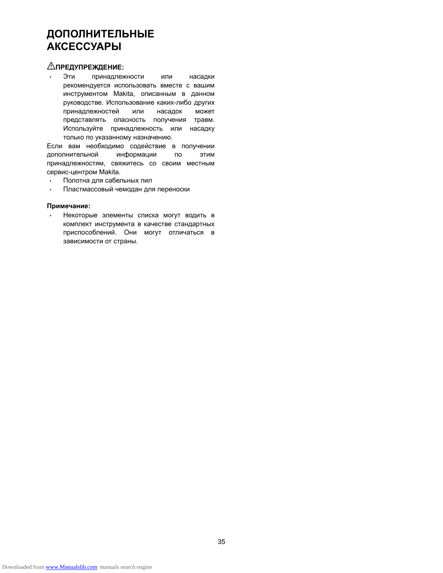## **ДОПОЛНИТЕЛЬНЫЕ АКСЕССУАРЫ**

### **ПРЕДУПРЕЖДЕНИЕ:**

• Эти принадлежности или насадки рекомендуется использовать вместе с вашим инструментом Makita, описанным в данном руководстве. Использование каких-либо других принадлежностей или насадок может представлять опасность получения травм. Используйте принадлежность или насадку только по указанному назначению.

Если вам необходимо содействие в получении дополнительной информации по этим принадлежностям, свяжитесь со своим местным сервис-центром Makita.

- Полотна для сабельных пил
- Пластмассовый чемодан для переноски

#### **Примечание:**

• Некоторые элементы списка могут водить в комплект инструмента в качестве стандартных приспособлений. Они могут отличаться в зависимости от страны.